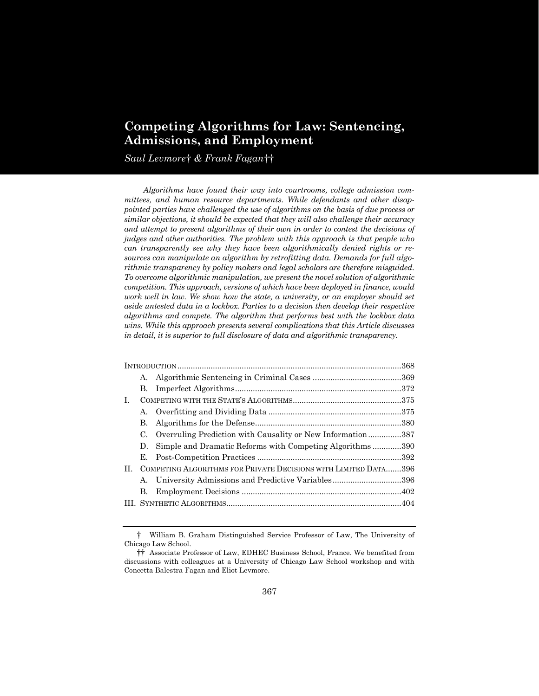# **Competing Algorithms for Law: Sentencing, Admissions, and Employment**

*Saul Levmore*[†](#page-0-0) *& Frank Fagan*[††](#page-0-1)

*Algorithms have found their way into courtrooms, college admission committees, and human resource departments. While defendants and other disappointed parties have challenged the use of algorithms on the basis of due process or similar objections, it should be expected that they will also challenge their accuracy and attempt to present algorithms of their own in order to contest the decisions of judges and other authorities. The problem with this approach is that people who can transparently see why they have been algorithmically denied rights or resources can manipulate an algorithm by retrofitting data. Demands for full algorithmic transparency by policy makers and legal scholars are therefore misguided. To overcome algorithmic manipulation, we present the novel solution of algorithmic competition. This approach, versions of which have been deployed in finance, would work well in law. We show how the state, a university, or an employer should set aside untested data in a lockbox. Parties to a decision then develop their respective algorithms and compete. The algorithm that performs best with the lockbox data wins. While this approach presents several complications that this Article discusses in detail, it is superior to full disclosure of data and algorithmic transparency.*

| А.                   |                                                                                                                                                                                                                                                |
|----------------------|------------------------------------------------------------------------------------------------------------------------------------------------------------------------------------------------------------------------------------------------|
| В.                   |                                                                                                                                                                                                                                                |
|                      |                                                                                                                                                                                                                                                |
|                      |                                                                                                                                                                                                                                                |
| В.                   |                                                                                                                                                                                                                                                |
| C.                   |                                                                                                                                                                                                                                                |
| D.                   |                                                                                                                                                                                                                                                |
| Е.                   |                                                                                                                                                                                                                                                |
|                      |                                                                                                                                                                                                                                                |
| $\mathbf{A}_{\cdot}$ |                                                                                                                                                                                                                                                |
| В.                   |                                                                                                                                                                                                                                                |
|                      |                                                                                                                                                                                                                                                |
|                      | Overruling Prediction with Causality or New Information387<br>Simple and Dramatic Reforms with Competing Algorithms390<br>COMPETING ALGORITHMS FOR PRIVATE DECISIONS WITH LIMITED DATA396<br>University Admissions and Predictive Variables396 |

<span id="page-0-0"></span><sup>†</sup> William B. Graham Distinguished Service Professor of Law, The University of Chicago Law School.

<span id="page-0-1"></span><sup>††</sup> Associate Professor of Law, EDHEC Business School, France. We benefited from discussions with colleagues at a University of Chicago Law School workshop and with Concetta Balestra Fagan and Eliot Levmore.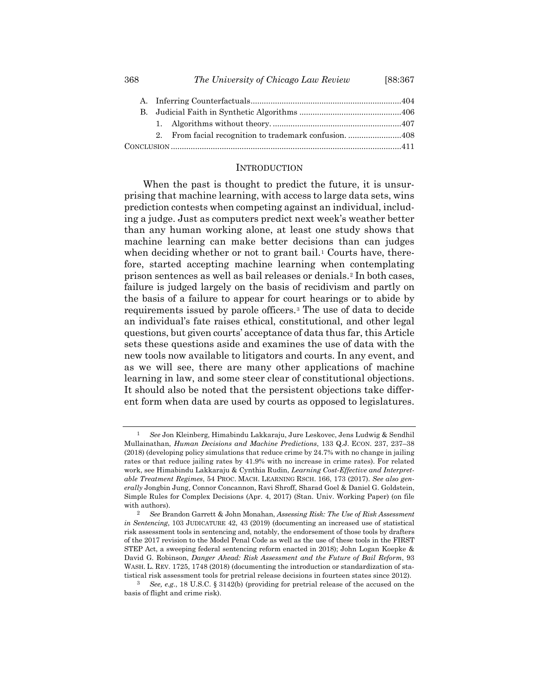| 368 | The University of Chicago Law Review | [88:367] |
|-----|--------------------------------------|----------|
|     |                                      |          |

### <span id="page-1-4"></span><span id="page-1-3"></span>INTRODUCTION

When the past is thought to predict the future, it is unsurprising that machine learning, with access to large data sets, wins prediction contests when competing against an individual, including a judge. Just as computers predict next week's weather better than any human working alone, at least one study shows that machine learning can make better decisions than can judges when deciding whether or not to grant bail.<sup>[1](#page-1-0)</sup> Courts have, therefore, started accepting machine learning when contemplating prison sentences as well as bail releases or denials.[2](#page-1-1) In both cases, failure is judged largely on the basis of recidivism and partly on the basis of a failure to appear for court hearings or to abide by requirements issued by parole officers.[3](#page-1-2) The use of data to decide an individual's fate raises ethical, constitutional, and other legal questions, but given courts' acceptance of data thus far, this Article sets these questions aside and examines the use of data with the new tools now available to litigators and courts. In any event, and as we will see, there are many other applications of machine learning in law, and some steer clear of constitutional objections. It should also be noted that the persistent objections take different form when data are used by courts as opposed to legislatures.

<span id="page-1-0"></span><sup>1</sup> *See* Jon Kleinberg, Himabindu Lakkaraju, Jure Leskovec, Jens Ludwig & Sendhil Mullainathan, *Human Decisions and Machine Predictions*, 133 Q.J. ECON. 237, 237–38 (2018) (developing policy simulations that reduce crime by 24.7% with no change in jailing rates or that reduce jailing rates by 41.9% with no increase in crime rates). For related work, see Himabindu Lakkaraju & Cynthia Rudin, *Learning Cost-Effective and Interpretable Treatment Regimes*, 54 PROC. MACH. LEARNING RSCH. 166, 173 (2017). *See also generally* Jongbin Jung, Connor Concannon, Ravi Shroff, Sharad Goel & Daniel G. Goldstein, Simple Rules for Complex Decisions (Apr. 4, 2017) (Stan. Univ. Working Paper) (on file with authors).

<span id="page-1-1"></span><sup>2</sup> *See* Brandon Garrett & John Monahan, *Assessing Risk: The Use of Risk Assessment in Sentencing*, 103 JUDICATURE 42, 43 (2019) (documenting an increased use of statistical risk assessment tools in sentencing and, notably, the endorsement of those tools by drafters of the 2017 revision to the Model Penal Code as well as the use of these tools in the FIRST STEP Act, a sweeping federal sentencing reform enacted in 2018); John Logan Koepke & David G. Robinson, *Danger Ahead: Risk Assessment and the Future of Bail Reform*, 93 WASH. L. REV. 1725, 1748 (2018) (documenting the introduction or standardization of statistical risk assessment tools for pretrial release decisions in fourteen states since 2012).

<span id="page-1-2"></span><sup>3</sup> *See, e.g.*, 18 U.S.C. § 3142(b) (providing for pretrial release of the accused on the basis of flight and crime risk).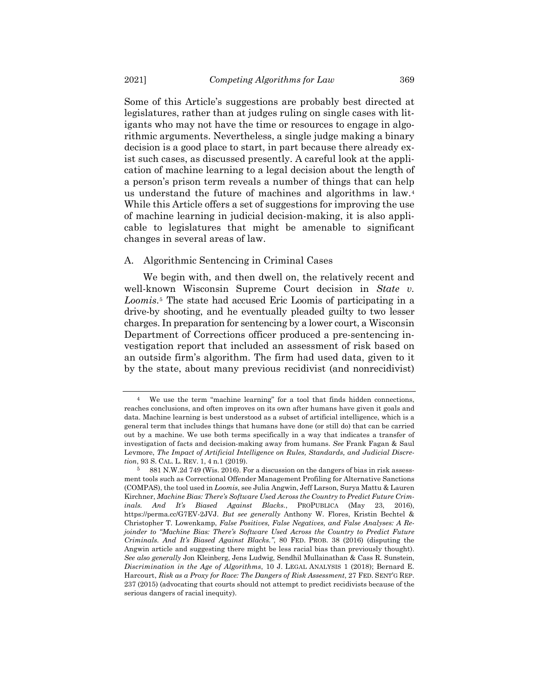Some of this Article's suggestions are probably best directed at legislatures, rather than at judges ruling on single cases with litigants who may not have the time or resources to engage in algorithmic arguments. Nevertheless, a single judge making a binary decision is a good place to start, in part because there already exist such cases, as discussed presently. A careful look at the application of machine learning to a legal decision about the length of a person's prison term reveals a number of things that can help us understand the future of machines and algorithms in law.[4](#page-2-0) While this Article offers a set of suggestions for improving the use of machine learning in judicial decision-making, it is also applicable to legislatures that might be amenable to significant changes in several areas of law.

## <span id="page-2-2"></span>A. Algorithmic Sentencing in Criminal Cases

We begin with, and then dwell on, the relatively recent and well-known Wisconsin Supreme Court decision in *State v. Loomis*.[5](#page-2-1) The state had accused Eric Loomis of participating in a drive-by shooting, and he eventually pleaded guilty to two lesser charges. In preparation for sentencing by a lower court, a Wisconsin Department of Corrections officer produced a pre-sentencing investigation report that included an assessment of risk based on an outside firm's algorithm. The firm had used data, given to it by the state, about many previous recidivist (and nonrecidivist)

<span id="page-2-0"></span>We use the term "machine learning" for a tool that finds hidden connections, reaches conclusions, and often improves on its own after humans have given it goals and data. Machine learning is best understood as a subset of artificial intelligence, which is a general term that includes things that humans have done (or still do) that can be carried out by a machine. We use both terms specifically in a way that indicates a transfer of investigation of facts and decision-making away from humans. *See* Frank Fagan & Saul Levmore, *The Impact of Artificial Intelligence on Rules, Standards, and Judicial Discretion*, 93 S. CAL. L. REV. 1, 4 n.1 (2019).<br>5 881 N W 2d 749 (Wis 2016) For

<span id="page-2-1"></span><sup>5</sup> 881 N.W.2d 749 (Wis. 2016). For a discussion on the dangers of bias in risk assessment tools such as Correctional Offender Management Profiling for Alternative Sanctions (COMPAS), the tool used in *Loomis*, see Julia Angwin, Jeff Larson, Surya Mattu & Lauren Kirchner, *Machine Bias: There's Software Used Across the Country to Predict Future Criminals. And It's Biased Against Blacks.*, PROPUBLICA (May 23, 2016), https://perma.cc/G7EV-2JVJ. *But see generally* Anthony W. Flores, Kristin Bechtel & Christopher T. Lowenkamp, *False Positives, False Negatives, and False Analyses: A Rejoinder to "Machine Bias: There's Software Used Across the Country to Predict Future Criminals. And It's Biased Against Blacks."*, 80 FED. PROB. 38 (2016) (disputing the Angwin article and suggesting there might be less racial bias than previously thought). *See also generally* Jon Kleinberg, Jens Ludwig, Sendhil Mullainathan & Cass R. Sunstein, *Discrimination in the Age of Algorithms*, 10 J. LEGAL ANALYSIS 1 (2018); Bernard E. Harcourt, *Risk as a Proxy for Race: The Dangers of Risk Assessment*, 27 FED. SENT'G REP. 237 (2015) (advocating that courts should not attempt to predict recidivists because of the serious dangers of racial inequity).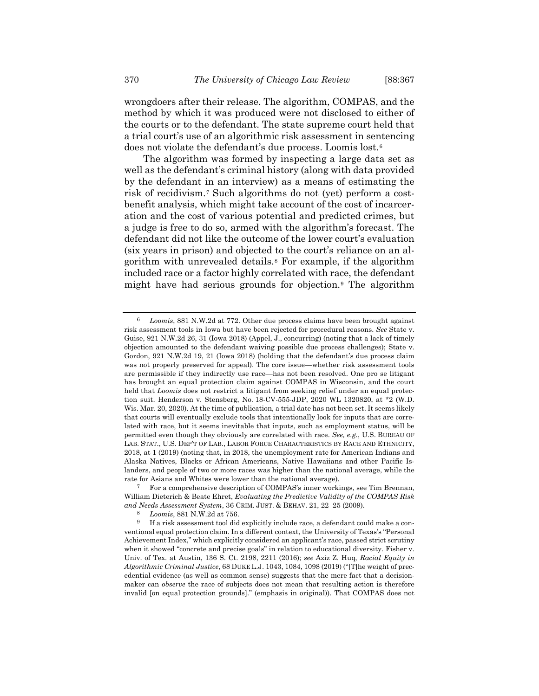wrongdoers after their release. The algorithm, COMPAS, and the method by which it was produced were not disclosed to either of the courts or to the defendant. The state supreme court held that a trial court's use of an algorithmic risk assessment in sentencing does not violate the defendant's due process. Loomis lost.[6](#page-3-0)

The algorithm was formed by inspecting a large data set as well as the defendant's criminal history (along with data provided by the defendant in an interview) as a means of estimating the risk of recidivism.[7](#page-3-1) Such algorithms do not (yet) perform a costbenefit analysis, which might take account of the cost of incarceration and the cost of various potential and predicted crimes, but a judge is free to do so, armed with the algorithm's forecast. The defendant did not like the outcome of the lower court's evaluation (six years in prison) and objected to the court's reliance on an algorithm with unrevealed details.[8](#page-3-2) For example, if the algorithm included race or a factor highly correlated with race, the defendant might have had serious grounds for objection.[9](#page-3-3) The algorithm

<span id="page-3-4"></span><span id="page-3-0"></span><sup>6</sup> *Loomis*, 881 N.W.2d at 772. Other due process claims have been brought against risk assessment tools in Iowa but have been rejected for procedural reasons. *See* State v. Guise, 921 N.W.2d 26, 31 (Iowa 2018) (Appel, J., concurring) (noting that a lack of timely objection amounted to the defendant waiving possible due process challenges); State v. Gordon, 921 N.W.2d 19, 21 (Iowa 2018) (holding that the defendant's due process claim was not properly preserved for appeal). The core issue—whether risk assessment tools are permissible if they indirectly use race—has not been resolved. One pro se litigant has brought an equal protection claim against COMPAS in Wisconsin, and the court held that *Loomis* does not restrict a litigant from seeking relief under an equal protection suit. Henderson v. Stensberg, No. 18-CV-555-JDP, 2020 WL 1320820, at \*2 (W.D. Wis. Mar. 20, 2020). At the time of publication, a trial date has not been set. It seems likely that courts will eventually exclude tools that intentionally look for inputs that are correlated with race, but it seems inevitable that inputs, such as employment status, will be permitted even though they obviously are correlated with race. *See, e.g.*, U.S. BUREAU OF LAB. STAT., U.S. DEP'T OF LAB., LABOR FORCE CHARACTERISTICS BY RACE AND ETHNICITY, 2018, at 1 (2019) (noting that, in 2018, the unemployment rate for American Indians and Alaska Natives, Blacks or African Americans, Native Hawaiians and other Pacific Islanders, and people of two or more races was higher than the national average, while the rate for Asians and Whites were lower than the national average).

<span id="page-3-1"></span><sup>7</sup> For a comprehensive description of COMPAS's inner workings, see Tim Brennan, William Dieterich & Beate Ehret, *Evaluating the Predictive Validity of the COMPAS Risk and Needs Assessment System*, 36 CRIM. JUST. & BEHAV. 21, 22–25 (2009).

<sup>8</sup> *Loomis*, 881 N.W.2d at 756.

<span id="page-3-3"></span><span id="page-3-2"></span>If a risk assessment tool did explicitly include race, a defendant could make a conventional equal protection claim. In a different context, the University of Texas's "Personal Achievement Index," which explicitly considered an applicant's race, passed strict scrutiny when it showed "concrete and precise goals" in relation to educational diversity. Fisher v. Univ. of Tex. at Austin, 136 S. Ct. 2198, 2211 (2016); *see* Aziz Z. Huq, *Racial Equity in Algorithmic Criminal Justice*, 68 DUKE L.J. 1043, 1084, 1098 (2019) ("[T]he weight of precedential evidence (as well as common sense) suggests that the mere fact that a decisionmaker can *observe* the race of subjects does not mean that resulting action is therefore invalid [on equal protection grounds]." (emphasis in original)). That COMPAS does not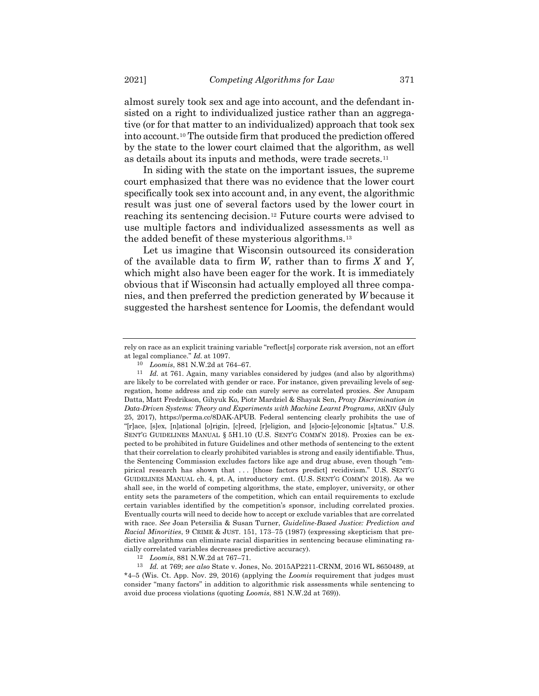almost surely took sex and age into account, and the defendant insisted on a right to individualized justice rather than an aggregative (or for that matter to an individualized) approach that took sex into account.[10](#page-4-0) The outside firm that produced the prediction offered by the state to the lower court claimed that the algorithm, as well as details about its inputs and methods, were trade secrets.[11](#page-4-1)

In siding with the state on the important issues, the supreme court emphasized that there was no evidence that the lower court specifically took sex into account and, in any event, the algorithmic result was just one of several factors used by the lower court in reaching its sentencing decision.[12](#page-4-2) Future courts were advised to use multiple factors and individualized assessments as well as the added benefit of these mysterious algorithms.[13](#page-4-3)

Let us imagine that Wisconsin outsourced its consideration of the available data to firm *W*, rather than to firms *X* and *Y*, which might also have been eager for the work. It is immediately obvious that if Wisconsin had actually employed all three companies, and then preferred the prediction generated by *W* because it suggested the harshest sentence for Loomis, the defendant would

12 *Loomis*, 881 N.W.2d at 767–71.

<span id="page-4-3"></span><span id="page-4-2"></span>13 *Id.* at 769; *see also* State v. Jones, No. 2015AP2211-CRNM, 2016 WL 8650489, at \*4–5 (Wis. Ct. App. Nov. 29, 2016) (applying the *Loomis* requirement that judges must consider "many factors" in addition to algorithmic risk assessments while sentencing to avoid due process violations (quoting *Loomis*, 881 N.W.2d at 769)).

rely on race as an explicit training variable "reflect[s] corporate risk aversion, not an effort at legal compliance." *Id.* at 1097.

<sup>10</sup> *Loomis*, 881 N.W.2d at 764–67.

<span id="page-4-1"></span><span id="page-4-0"></span><sup>11</sup> *Id.* at 761. Again, many variables considered by judges (and also by algorithms) are likely to be correlated with gender or race. For instance, given prevailing levels of segregation, home address and zip code can surely serve as correlated proxies. *See* Anupam Datta, Matt Fredrikson, Gihyuk Ko, Piotr Mardziel & Shayak Sen, *Proxy Discrimination in Data-Driven Systems: Theory and Experiments with Machine Learnt Programs*, ARXIV (July 25, 2017), https://perma.cc/8DAK-APUB. Federal sentencing clearly prohibits the use of "[r]ace, [s]ex, [n]ational [o]rigin, [c]reed, [r]eligion, and [s]ocio-[e]conomic [s]tatus." U.S. SENT'G GUIDELINES MANUAL § 5H1.10 (U.S. SENT'G COMM'N 2018). Proxies can be expected to be prohibited in future Guidelines and other methods of sentencing to the extent that their correlation to clearly prohibited variables is strong and easily identifiable. Thus, the Sentencing Commission excludes factors like age and drug abuse, even though "empirical research has shown that ... [those factors predict] recidivism." U.S. SENT'G GUIDELINES MANUAL ch. 4, pt. A, introductory cmt. (U.S. SENT'G COMM'N 2018). As we shall see, in the world of competing algorithms, the state, employer, university, or other entity sets the parameters of the competition, which can entail requirements to exclude certain variables identified by the competition's sponsor, including correlated proxies. Eventually courts will need to decide how to accept or exclude variables that are correlated with race. *See* Joan Petersilia & Susan Turner, *Guideline-Based Justice: Prediction and Racial Minorities*, 9 CRIME & JUST. 151, 173–75 (1987) (expressing skepticism that predictive algorithms can eliminate racial disparities in sentencing because eliminating racially correlated variables decreases predictive accuracy).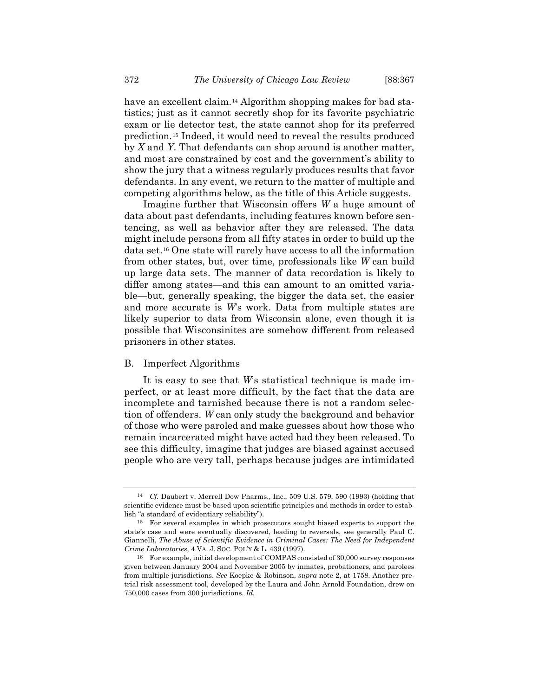have an excellent claim.<sup>[14](#page-5-0)</sup> Algorithm shopping makes for bad statistics; just as it cannot secretly shop for its favorite psychiatric exam or lie detector test, the state cannot shop for its preferred prediction.[15](#page-5-1) Indeed, it would need to reveal the results produced by *X* and *Y*. That defendants can shop around is another matter, and most are constrained by cost and the government's ability to show the jury that a witness regularly produces results that favor defendants. In any event, we return to the matter of multiple and competing algorithms below, as the title of this Article suggests.

Imagine further that Wisconsin offers *W* a huge amount of data about past defendants, including features known before sentencing, as well as behavior after they are released. The data might include persons from all fifty states in order to build up the data set.[16](#page-5-2) One state will rarely have access to all the information from other states, but, over time, professionals like *W* can build up large data sets. The manner of data recordation is likely to differ among states—and this can amount to an omitted variable—but, generally speaking, the bigger the data set, the easier and more accurate is *W*'s work. Data from multiple states are likely superior to data from Wisconsin alone, even though it is possible that Wisconsinites are somehow different from released prisoners in other states.

### B. Imperfect Algorithms

It is easy to see that *W*'s statistical technique is made imperfect, or at least more difficult, by the fact that the data are incomplete and tarnished because there is not a random selection of offenders. *W* can only study the background and behavior of those who were paroled and make guesses about how those who remain incarcerated might have acted had they been released. To see this difficulty, imagine that judges are biased against accused people who are very tall, perhaps because judges are intimidated

<span id="page-5-0"></span><sup>14</sup> *Cf.* Daubert v. Merrell Dow Pharms., Inc., 509 U.S. 579, 590 (1993) (holding that scientific evidence must be based upon scientific principles and methods in order to establish "a standard of evidentiary reliability").

<span id="page-5-1"></span><sup>15</sup> For several examples in which prosecutors sought biased experts to support the state's case and were eventually discovered, leading to reversals, see generally Paul C. Giannelli, *The Abuse of Scientific Evidence in Criminal Cases: The Need for Independent Crime Laboratories*, 4 VA. J. SOC. POL'Y & L. 439 (1997).

<span id="page-5-2"></span><sup>16</sup> For example, initial development of COMPAS consisted of 30,000 survey responses given between January 2004 and November 2005 by inmates, probationers, and parolees from multiple jurisdictions. *See* Koepke & Robinson, *supra* note [2,](#page-1-3) at 1758. Another pretrial risk assessment tool, developed by the Laura and John Arnold Foundation, drew on 750,000 cases from 300 jurisdictions. *Id.*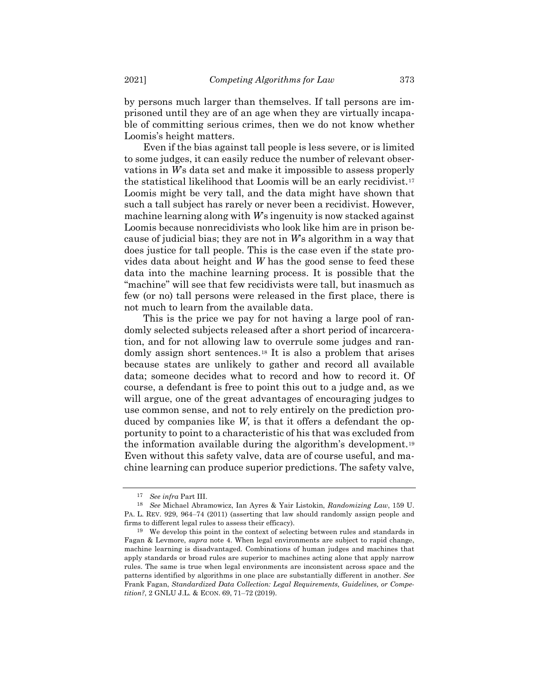by persons much larger than themselves. If tall persons are imprisoned until they are of an age when they are virtually incapable of committing serious crimes, then we do not know whether Loomis's height matters.

Even if the bias against tall people is less severe, or is limited to some judges, it can easily reduce the number of relevant observations in *W*'s data set and make it impossible to assess properly the statistical likelihood that Loomis will be an early recidivist.[17](#page-6-0) Loomis might be very tall, and the data might have shown that such a tall subject has rarely or never been a recidivist. However, machine learning along with *W*'s ingenuity is now stacked against Loomis because nonrecidivists who look like him are in prison because of judicial bias; they are not in *W*'s algorithm in a way that does justice for tall people. This is the case even if the state provides data about height and *W* has the good sense to feed these data into the machine learning process. It is possible that the "machine" will see that few recidivists were tall, but inasmuch as few (or no) tall persons were released in the first place, there is not much to learn from the available data.

This is the price we pay for not having a large pool of randomly selected subjects released after a short period of incarceration, and for not allowing law to overrule some judges and randomly assign short sentences.[18](#page-6-1) It is also a problem that arises because states are unlikely to gather and record all available data; someone decides what to record and how to record it. Of course, a defendant is free to point this out to a judge and, as we will argue, one of the great advantages of encouraging judges to use common sense, and not to rely entirely on the prediction produced by companies like *W*, is that it offers a defendant the opportunity to point to a characteristic of his that was excluded from the information available during the algorithm's development.[19](#page-6-2) Even without this safety valve, data are of course useful, and machine learning can produce superior predictions. The safety valve,

<sup>17</sup> *See infra* Part III.

<span id="page-6-1"></span><span id="page-6-0"></span><sup>18</sup> *See* Michael Abramowicz, Ian Ayres & Yair Listokin, *Randomizing Law*, 159 U. PA. L. REV. 929, 964–74 (2011) (asserting that law should randomly assign people and firms to different legal rules to assess their efficacy).

<span id="page-6-2"></span><sup>19</sup> We develop this point in the context of selecting between rules and standards in Fagan & Levmore, *supra* note [4.](#page-2-2) When legal environments are subject to rapid change, machine learning is disadvantaged. Combinations of human judges and machines that apply standards or broad rules are superior to machines acting alone that apply narrow rules. The same is true when legal environments are inconsistent across space and the patterns identified by algorithms in one place are substantially different in another. *See* Frank Fagan, *Standardized Data Collection: Legal Requirements, Guidelines, or Competition?*, 2 GNLU J.L. & ECON. 69, 71–72 (2019).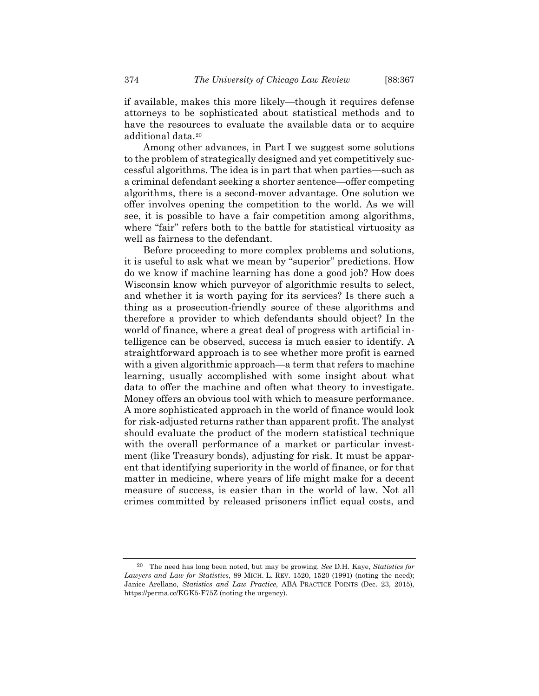if available, makes this more likely—though it requires defense attorneys to be sophisticated about statistical methods and to have the resources to evaluate the available data or to acquire additional data.[20](#page-7-0)

Among other advances, in Part I we suggest some solutions to the problem of strategically designed and yet competitively successful algorithms. The idea is in part that when parties—such as a criminal defendant seeking a shorter sentence—offer competing algorithms, there is a second-mover advantage. One solution we offer involves opening the competition to the world. As we will see, it is possible to have a fair competition among algorithms, where "fair" refers both to the battle for statistical virtuosity as well as fairness to the defendant.

Before proceeding to more complex problems and solutions, it is useful to ask what we mean by "superior" predictions. How do we know if machine learning has done a good job? How does Wisconsin know which purveyor of algorithmic results to select, and whether it is worth paying for its services? Is there such a thing as a prosecution-friendly source of these algorithms and therefore a provider to which defendants should object? In the world of finance, where a great deal of progress with artificial intelligence can be observed, success is much easier to identify. A straightforward approach is to see whether more profit is earned with a given algorithmic approach—a term that refers to machine learning, usually accomplished with some insight about what data to offer the machine and often what theory to investigate. Money offers an obvious tool with which to measure performance. A more sophisticated approach in the world of finance would look for risk-adjusted returns rather than apparent profit. The analyst should evaluate the product of the modern statistical technique with the overall performance of a market or particular investment (like Treasury bonds), adjusting for risk. It must be apparent that identifying superiority in the world of finance, or for that matter in medicine, where years of life might make for a decent measure of success, is easier than in the world of law. Not all crimes committed by released prisoners inflict equal costs, and

<span id="page-7-0"></span><sup>20</sup> The need has long been noted, but may be growing. *See* D.H. Kaye, *Statistics for Lawyers and Law for Statistics*, 89 MICH. L. REV. 1520, 1520 (1991) (noting the need); Janice Arellano, *Statistics and Law Practice*, ABA PRACTICE POINTS (Dec. 23, 2015), https://perma.cc/KGK5-F75Z (noting the urgency).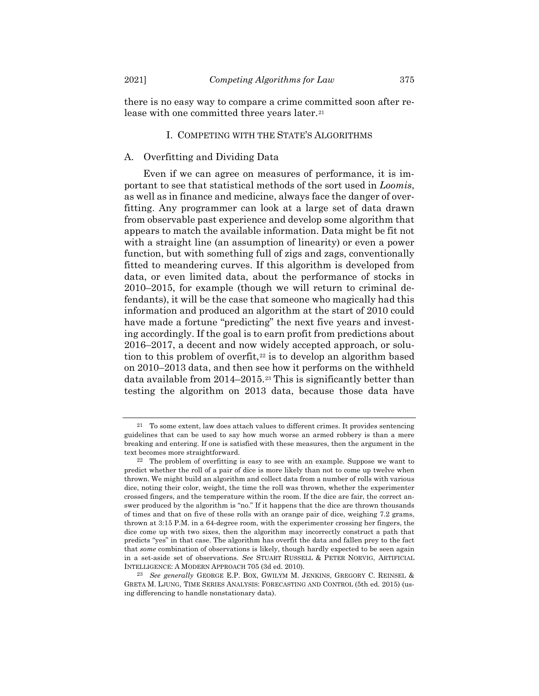there is no easy way to compare a crime committed soon after re-

lease with one committed three years later.<sup>[21](#page-8-0)</sup>

# I. COMPETING WITH THE STATE'S ALGORITHMS

## A. Overfitting and Dividing Data

Even if we can agree on measures of performance, it is important to see that statistical methods of the sort used in *Loomis*, as well as in finance and medicine, always face the danger of overfitting. Any programmer can look at a large set of data drawn from observable past experience and develop some algorithm that appears to match the available information. Data might be fit not with a straight line (an assumption of linearity) or even a power function, but with something full of zigs and zags, conventionally fitted to meandering curves. If this algorithm is developed from data, or even limited data, about the performance of stocks in 2010–2015, for example (though we will return to criminal defendants), it will be the case that someone who magically had this information and produced an algorithm at the start of 2010 could have made a fortune "predicting" the next five years and investing accordingly. If the goal is to earn profit from predictions about 2016–2017, a decent and now widely accepted approach, or solu-tion to this problem of overfit,<sup>[22](#page-8-1)</sup> is to develop an algorithm based on 2010–2013 data, and then see how it performs on the withheld data available from 2014–2015.[23](#page-8-2) This is significantly better than testing the algorithm on 2013 data, because those data have

<span id="page-8-3"></span><span id="page-8-0"></span> $21$  To some extent, law does attach values to different crimes. It provides sentencing guidelines that can be used to say how much worse an armed robbery is than a mere breaking and entering. If one is satisfied with these measures, then the argument in the text becomes more straightforward.

<span id="page-8-1"></span><sup>22</sup> The problem of overfitting is easy to see with an example. Suppose we want to predict whether the roll of a pair of dice is more likely than not to come up twelve when thrown. We might build an algorithm and collect data from a number of rolls with various dice, noting their color, weight, the time the roll was thrown, whether the experimenter crossed fingers, and the temperature within the room. If the dice are fair, the correct answer produced by the algorithm is "no." If it happens that the dice are thrown thousands of times and that on five of these rolls with an orange pair of dice, weighing 7.2 grams, thrown at 3:15 P.M. in a 64-degree room, with the experimenter crossing her fingers, the dice come up with two sixes, then the algorithm may incorrectly construct a path that predicts "yes" in that case. The algorithm has overfit the data and fallen prey to the fact that *some* combination of observations is likely, though hardly expected to be seen again in a set-aside set of observations. *See* STUART RUSSELL & PETER NORVIG, ARTIFICIAL INTELLIGENCE: A MODERN APPROACH 705 (3d ed. 2010).

<span id="page-8-2"></span><sup>23</sup> *See generally* GEORGE E.P. BOX, GWILYM M. JENKINS, GREGORY C. REINSEL & GRETA M. LJUNG, TIME SERIES ANALYSIS: FORECASTING AND CONTROL (5th ed. 2015) (using differencing to handle nonstationary data).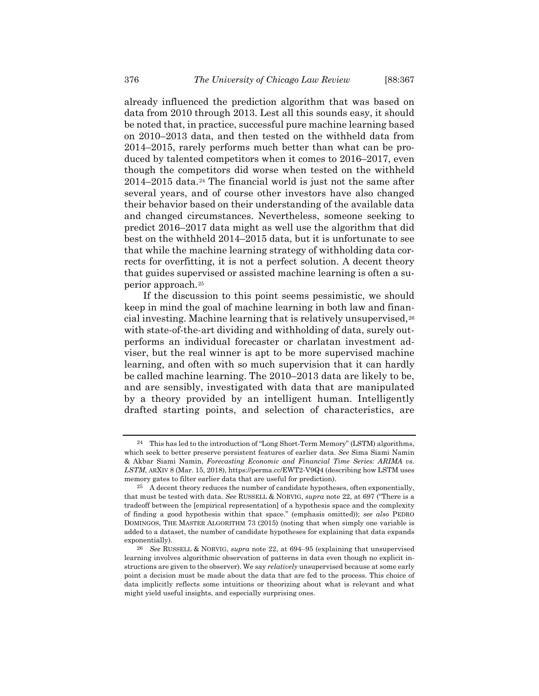already influenced the prediction algorithm that was based on data from 2010 through 2013. Lest all this sounds easy, it should be noted that, in practice, successful pure machine learning based on 2010–2013 data, and then tested on the withheld data from 2014–2015, rarely performs much better than what can be produced by talented competitors when it comes to 2016–2017, even though the competitors did worse when tested on the withheld  $2014-2015$  data.<sup>[24](#page-9-0)</sup> The financial world is just not the same after several years, and of course other investors have also changed their behavior based on their understanding of the available data and changed circumstances. Nevertheless, someone seeking to predict 2016–2017 data might as well use the algorithm that did best on the withheld 2014–2015 data, but it is unfortunate to see that while the machine learning strategy of withholding data corrects for overfitting, it is not a perfect solution. A decent theory that guides supervised or assisted machine learning is often a superior approach.[25](#page-9-1)

If the discussion to this point seems pessimistic, we should keep in mind the goal of machine learning in both law and finan-cial investing. Machine learning that is relatively unsupervised,<sup>[26](#page-9-2)</sup> with state-of-the-art dividing and withholding of data, surely outperforms an individual forecaster or charlatan investment adviser, but the real winner is apt to be more supervised machine learning, and often with so much supervision that it can hardly be called machine learning. The 2010–2013 data are likely to be, and are sensibly, investigated with data that are manipulated by a theory provided by an intelligent human. Intelligently drafted starting points, and selection of characteristics, are

<span id="page-9-0"></span><sup>24</sup> This has led to the introduction of "Long Short-Term Memory" (LSTM) algorithms, which seek to better preserve persistent features of earlier data. *See* Sima Siami Namin & Akbar Siami Namin, *Forecasting Economic and Financial Time Series: ARIMA vs. LSTM*, ARXIV 8 (Mar. 15, 2018), https://perma.cc/EWT2-V9Q4 (describing how LSTM uses memory gates to filter earlier data that are useful for prediction).

<span id="page-9-1"></span><sup>25</sup> A decent theory reduces the number of candidate hypotheses, often exponentially, that must be tested with data. *See* RUSSELL & NORVIG, *supra* note [22,](#page-8-3) at 697 ("There is a tradeoff between the [empirical representation] of a hypothesis space and the complexity of finding a good hypothesis within that space." (emphasis omitted)); *see also* PEDRO DOMINGOS, THE MASTER ALGORITHM 73 (2015) (noting that when simply one variable is added to a dataset, the number of candidate hypotheses for explaining that data expands exponentially).

<span id="page-9-2"></span><sup>26</sup> *See* RUSSELL & NORVIG, *supra* note [22,](#page-8-3) at 694–95 (explaining that unsupervised learning involves algorithmic observation of patterns in data even though no explicit instructions are given to the observer). We say *relatively* unsupervised because at some early point a decision must be made about the data that are fed to the process. This choice of data implicitly reflects some intuitions or theorizing about what is relevant and what might yield useful insights, and especially surprising ones.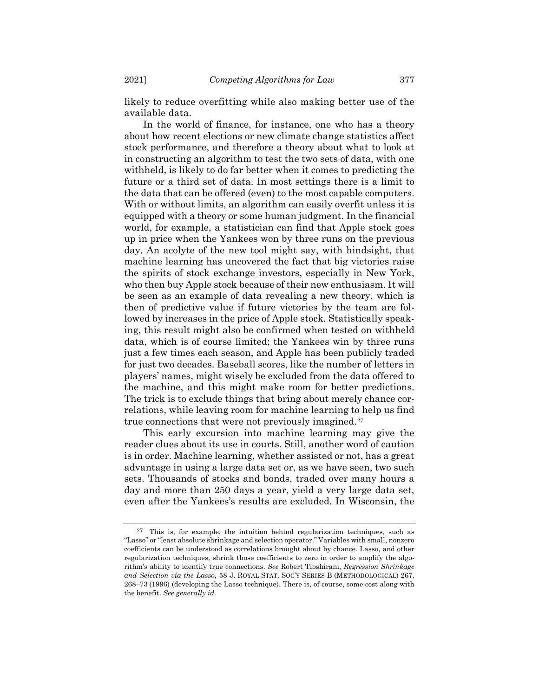likely to reduce overfitting while also making better use of the available data.

In the world of finance, for instance, one who has a theory about how recent elections or new climate change statistics affect stock performance, and therefore a theory about what to look at in constructing an algorithm to test the two sets of data, with one withheld, is likely to do far better when it comes to predicting the future or a third set of data. In most settings there is a limit to the data that can be offered (even) to the most capable computers. With or without limits, an algorithm can easily overfit unless it is equipped with a theory or some human judgment. In the financial world, for example, a statistician can find that Apple stock goes up in price when the Yankees won by three runs on the previous day. An acolyte of the new tool might say, with hindsight, that machine learning has uncovered the fact that big victories raise the spirits of stock exchange investors, especially in New York, who then buy Apple stock because of their new enthusiasm. It will be seen as an example of data revealing a new theory, which is then of predictive value if future victories by the team are followed by increases in the price of Apple stock. Statistically speaking, this result might also be confirmed when tested on withheld data, which is of course limited; the Yankees win by three runs just a few times each season, and Apple has been publicly traded for just two decades. Baseball scores, like the number of letters in players' names, might wisely be excluded from the data offered to the machine, and this might make room for better predictions. The trick is to exclude things that bring about merely chance correlations, while leaving room for machine learning to help us find true connections that were not previously imagined.[27](#page-10-0)

<span id="page-10-1"></span>This early excursion into machine learning may give the reader clues about its use in courts. Still, another word of caution is in order. Machine learning, whether assisted or not, has a great advantage in using a large data set or, as we have seen, two such sets. Thousands of stocks and bonds, traded over many hours a day and more than 250 days a year, yield a very large data set, even after the Yankees's results are excluded. In Wisconsin, the

<span id="page-10-0"></span> $27$  This is, for example, the intuition behind regularization techniques, such as "Lasso" or "least absolute shrinkage and selection operator." Variables with small, nonzero coefficients can be understood as correlations brought about by chance. Lasso, and other regularization techniques, shrink those coefficients to zero in order to amplify the algorithm's ability to identify true connections. *See* Robert Tibshirani, *Regression Shrinkage and Selection via the Lasso*, 58 J. ROYAL STAT. SOC'Y SERIES B (METHODOLOGICAL) 267, 268–73 (1996) (developing the Lasso technique). There is, of course, some cost along with the benefit. *See generally id.*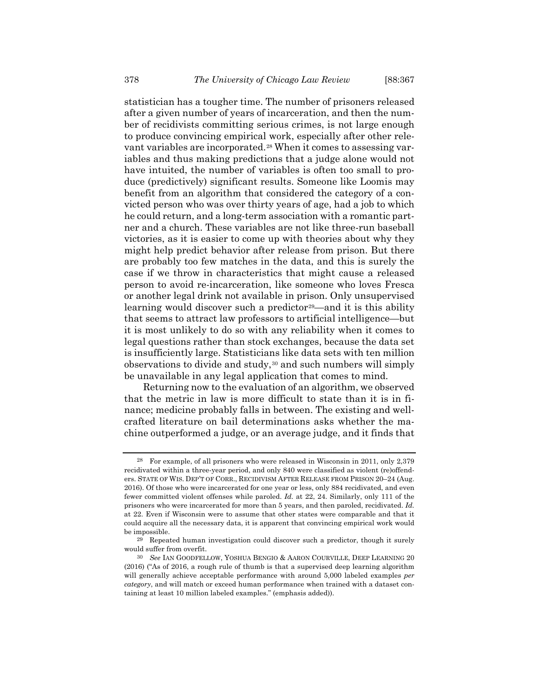statistician has a tougher time. The number of prisoners released after a given number of years of incarceration, and then the number of recidivists committing serious crimes, is not large enough to produce convincing empirical work, especially after other rele-vant variables are incorporated.<sup>[28](#page-11-0)</sup> When it comes to assessing variables and thus making predictions that a judge alone would not have intuited, the number of variables is often too small to produce (predictively) significant results. Someone like Loomis may benefit from an algorithm that considered the category of a convicted person who was over thirty years of age, had a job to which he could return, and a long-term association with a romantic partner and a church. These variables are not like three-run baseball victories, as it is easier to come up with theories about why they might help predict behavior after release from prison. But there are probably too few matches in the data, and this is surely the case if we throw in characteristics that might cause a released person to avoid re-incarceration, like someone who loves Fresca or another legal drink not available in prison. Only unsupervised learning would discover such a predictor<sup>[29](#page-11-1)</sup>—and it is this ability that seems to attract law professors to artificial intelligence—but it is most unlikely to do so with any reliability when it comes to legal questions rather than stock exchanges, because the data set is insufficiently large. Statisticians like data sets with ten million observations to divide and study,[30](#page-11-2) and such numbers will simply be unavailable in any legal application that comes to mind.

<span id="page-11-3"></span>Returning now to the evaluation of an algorithm, we observed that the metric in law is more difficult to state than it is in finance; medicine probably falls in between. The existing and wellcrafted literature on bail determinations asks whether the machine outperformed a judge, or an average judge, and it finds that

<span id="page-11-0"></span><sup>28</sup> For example, of all prisoners who were released in Wisconsin in 2011, only 2,379 recidivated within a three-year period, and only 840 were classified as violent (re)offenders. STATE OF WIS. DEP'T OF CORR., RECIDIVISM AFTER RELEASE FROM PRISON 20–24 (Aug. 2016). Of those who were incarcerated for one year or less, only 884 recidivated, and even fewer committed violent offenses while paroled. *Id.* at 22, 24. Similarly, only 111 of the prisoners who were incarcerated for more than 5 years, and then paroled, recidivated. *Id.* at 22. Even if Wisconsin were to assume that other states were comparable and that it could acquire all the necessary data, it is apparent that convincing empirical work would be impossible.

<span id="page-11-1"></span><sup>29</sup> Repeated human investigation could discover such a predictor, though it surely would suffer from overfit.

<span id="page-11-2"></span><sup>30</sup> *See* IAN GOODFELLOW, YOSHUA BENGIO & AARON COURVILLE, DEEP LEARNING 20 (2016) ("As of 2016, a rough rule of thumb is that a supervised deep learning algorithm will generally achieve acceptable performance with around 5,000 labeled examples *per category*, and will match or exceed human performance when trained with a dataset containing at least 10 million labeled examples." (emphasis added)).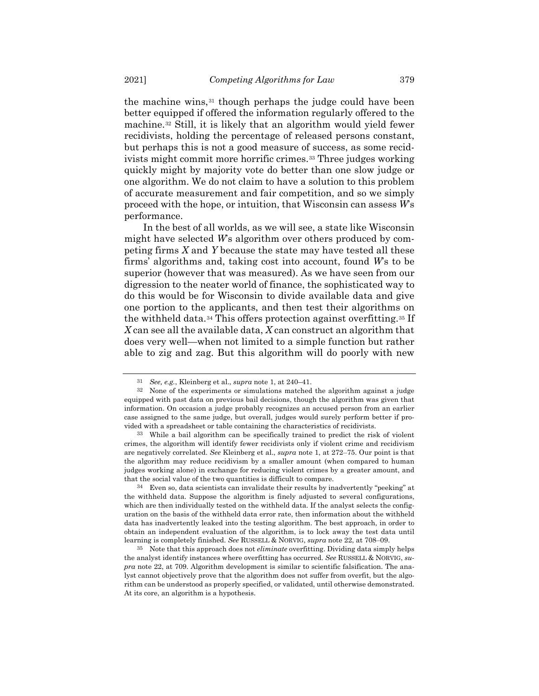the machine wins,[31](#page-12-0) though perhaps the judge could have been better equipped if offered the information regularly offered to the machine.[32](#page-12-1) Still, it is likely that an algorithm would yield fewer recidivists, holding the percentage of released persons constant, but perhaps this is not a good measure of success, as some recid-ivists might commit more horrific crimes.<sup>[33](#page-12-2)</sup> Three judges working quickly might by majority vote do better than one slow judge or one algorithm. We do not claim to have a solution to this problem of accurate measurement and fair competition, and so we simply proceed with the hope, or intuition, that Wisconsin can assess *W*'s performance.

In the best of all worlds, as we will see, a state like Wisconsin might have selected *W*'s algorithm over others produced by competing firms *X* and *Y* because the state may have tested all these firms' algorithms and, taking cost into account, found *W*'s to be superior (however that was measured). As we have seen from our digression to the neater world of finance, the sophisticated way to do this would be for Wisconsin to divide available data and give one portion to the applicants, and then test their algorithms on the withheld data.[34](#page-12-3) This offers protection against overfitting.[35](#page-12-4) If *X* can see all the available data, *X* can construct an algorithm that does very well—when not limited to a simple function but rather able to zig and zag. But this algorithm will do poorly with new

<sup>31</sup> *See, e.g.*, Kleinberg et al., *supra* note [1,](#page-1-4) at 240–41.

<span id="page-12-1"></span><span id="page-12-0"></span><sup>32</sup> None of the experiments or simulations matched the algorithm against a judge equipped with past data on previous bail decisions, though the algorithm was given that information. On occasion a judge probably recognizes an accused person from an earlier case assigned to the same judge, but overall, judges would surely perform better if provided with a spreadsheet or table containing the characteristics of recidivists.

<span id="page-12-2"></span><sup>33</sup> While a bail algorithm can be specifically trained to predict the risk of violent crimes, the algorithm will identify fewer recidivists only if violent crime and recidivism are negatively correlated. *See* Kleinberg et al., *supra* not[e 1,](#page-1-4) at 272–75. Our point is that the algorithm may reduce recidivism by a smaller amount (when compared to human judges working alone) in exchange for reducing violent crimes by a greater amount, and that the social value of the two quantities is difficult to compare.

<span id="page-12-3"></span><sup>34</sup> Even so, data scientists can invalidate their results by inadvertently "peeking" at the withheld data. Suppose the algorithm is finely adjusted to several configurations, which are then individually tested on the withheld data. If the analyst selects the configuration on the basis of the withheld data error rate, then information about the withheld data has inadvertently leaked into the testing algorithm. The best approach, in order to obtain an independent evaluation of the algorithm, is to lock away the test data until learning is completely finished. *See* RUSSELL & NORVIG, *supra* note [22,](#page-8-3) at 708–09.

<span id="page-12-4"></span><sup>35</sup> Note that this approach does not *eliminate* overfitting. Dividing data simply helps the analyst identify instances where overfitting has occurred. *See* RUSSELL & NORVIG, *supra* note [22,](#page-8-3) at 709. Algorithm development is similar to scientific falsification. The analyst cannot objectively prove that the algorithm does not suffer from overfit, but the algorithm can be understood as properly specified, or validated, until otherwise demonstrated. At its core, an algorithm is a hypothesis.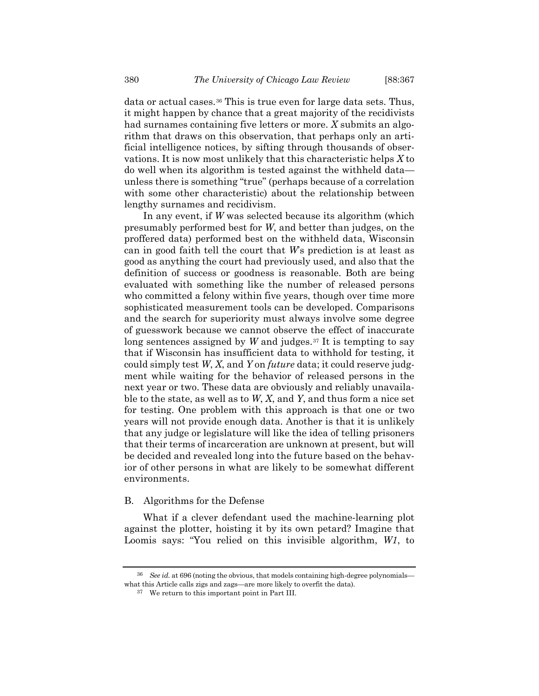data or actual cases.[36](#page-13-0) This is true even for large data sets. Thus, it might happen by chance that a great majority of the recidivists had surnames containing five letters or more. *X* submits an algorithm that draws on this observation, that perhaps only an artificial intelligence notices, by sifting through thousands of observations. It is now most unlikely that this characteristic helps *X* to do well when its algorithm is tested against the withheld data unless there is something "true" (perhaps because of a correlation with some other characteristic) about the relationship between lengthy surnames and recidivism.

In any event, if *W* was selected because its algorithm (which presumably performed best for *W*, and better than judges, on the proffered data) performed best on the withheld data, Wisconsin can in good faith tell the court that *W*'s prediction is at least as good as anything the court had previously used, and also that the definition of success or goodness is reasonable. Both are being evaluated with something like the number of released persons who committed a felony within five years, though over time more sophisticated measurement tools can be developed. Comparisons and the search for superiority must always involve some degree of guesswork because we cannot observe the effect of inaccurate long sentences assigned by *W* and judges.<sup>[37](#page-13-1)</sup> It is tempting to say that if Wisconsin has insufficient data to withhold for testing, it could simply test *W*, *X*, and *Y* on *future* data; it could reserve judgment while waiting for the behavior of released persons in the next year or two. These data are obviously and reliably unavailable to the state, as well as to *W*, *X*, and *Y*, and thus form a nice set for testing. One problem with this approach is that one or two years will not provide enough data. Another is that it is unlikely that any judge or legislature will like the idea of telling prisoners that their terms of incarceration are unknown at present, but will be decided and revealed long into the future based on the behavior of other persons in what are likely to be somewhat different environments.

### B. Algorithms for the Defense

What if a clever defendant used the machine-learning plot against the plotter, hoisting it by its own petard? Imagine that Loomis says: "You relied on this invisible algorithm, *W1*, to

<span id="page-13-1"></span><span id="page-13-0"></span><sup>36</sup> *See id.* at 696 (noting the obvious, that models containing high-degree polynomials what this Article calls zigs and zags—are more likely to overfit the data).

<sup>37</sup> We return to this important point in Part III.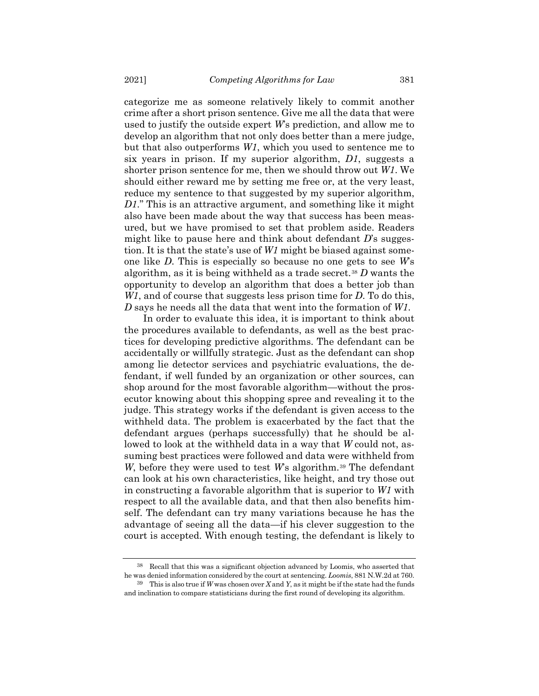categorize me as someone relatively likely to commit another crime after a short prison sentence. Give me all the data that were used to justify the outside expert *W*'s prediction, and allow me to develop an algorithm that not only does better than a mere judge, but that also outperforms *W1*, which you used to sentence me to six years in prison. If my superior algorithm, *D1*, suggests a shorter prison sentence for me, then we should throw out *W1*. We should either reward me by setting me free or, at the very least, reduce my sentence to that suggested by my superior algorithm, *D1*." This is an attractive argument, and something like it might also have been made about the way that success has been measured, but we have promised to set that problem aside. Readers might like to pause here and think about defendant *D*'s suggestion. It is that the state's use of *W1* might be biased against someone like *D*. This is especially so because no one gets to see *W*'s algorithm, as it is being withheld as a trade secret.[38](#page-14-0) *D* wants the opportunity to develop an algorithm that does a better job than *W1*, and of course that suggests less prison time for *D*. To do this, *D* says he needs all the data that went into the formation of *W1*.

In order to evaluate this idea, it is important to think about the procedures available to defendants, as well as the best practices for developing predictive algorithms. The defendant can be accidentally or willfully strategic. Just as the defendant can shop among lie detector services and psychiatric evaluations, the defendant, if well funded by an organization or other sources, can shop around for the most favorable algorithm—without the prosecutor knowing about this shopping spree and revealing it to the judge. This strategy works if the defendant is given access to the withheld data. The problem is exacerbated by the fact that the defendant argues (perhaps successfully) that he should be allowed to look at the withheld data in a way that *W* could not, assuming best practices were followed and data were withheld from *W*, before they were used to test *W*'s algorithm.<sup>[39](#page-14-1)</sup> The defendant can look at his own characteristics, like height, and try those out in constructing a favorable algorithm that is superior to *W1* with respect to all the available data, and that then also benefits himself. The defendant can try many variations because he has the advantage of seeing all the data—if his clever suggestion to the court is accepted. With enough testing, the defendant is likely to

<span id="page-14-0"></span><sup>38</sup> Recall that this was a significant objection advanced by Loomis, who asserted that he was denied information considered by the court at sentencing. *Loomis*, 881 N.W.2d at 760.

<span id="page-14-1"></span><sup>39</sup> This is also true if *W* was chosen over *X* and *Y*, as it might be if the state had the funds and inclination to compare statisticians during the first round of developing its algorithm.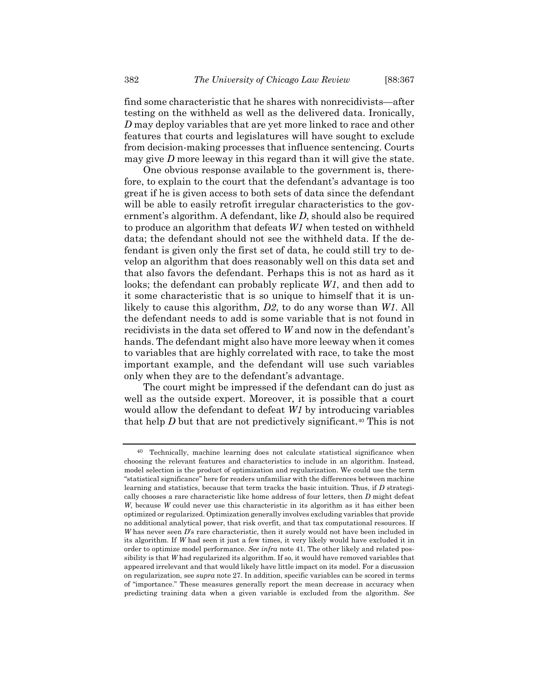find some characteristic that he shares with nonrecidivists—after testing on the withheld as well as the delivered data. Ironically, *D* may deploy variables that are yet more linked to race and other features that courts and legislatures will have sought to exclude from decision-making processes that influence sentencing. Courts may give *D* more leeway in this regard than it will give the state.

One obvious response available to the government is, therefore, to explain to the court that the defendant's advantage is too great if he is given access to both sets of data since the defendant will be able to easily retrofit irregular characteristics to the government's algorithm. A defendant, like *D*, should also be required to produce an algorithm that defeats *W1* when tested on withheld data; the defendant should not see the withheld data. If the defendant is given only the first set of data, he could still try to develop an algorithm that does reasonably well on this data set and that also favors the defendant. Perhaps this is not as hard as it looks; the defendant can probably replicate *W1*, and then add to it some characteristic that is so unique to himself that it is unlikely to cause this algorithm, *D2*, to do any worse than *W1*. All the defendant needs to add is some variable that is not found in recidivists in the data set offered to *W* and now in the defendant's hands. The defendant might also have more leeway when it comes to variables that are highly correlated with race, to take the most important example, and the defendant will use such variables only when they are to the defendant's advantage.

<span id="page-15-1"></span>The court might be impressed if the defendant can do just as well as the outside expert. Moreover, it is possible that a court would allow the defendant to defeat *W1* by introducing variables that help *D* but that are not predictively significant.<sup>[40](#page-15-0)</sup> This is not

<span id="page-15-0"></span><sup>40</sup> Technically, machine learning does not calculate statistical significance when choosing the relevant features and characteristics to include in an algorithm. Instead, model selection is the product of optimization and regularization. We could use the term "statistical significance" here for readers unfamiliar with the differences between machine learning and statistics, because that term tracks the basic intuition. Thus, if *D* strategically chooses a rare characteristic like home address of four letters, then *D* might defeat *W*, because *W* could never use this characteristic in its algorithm as it has either been optimized or regularized. Optimization generally involves excluding variables that provide no additional analytical power, that risk overfit, and that tax computational resources. If *W* has never seen *D*'s rare characteristic, then it surely would not have been included in its algorithm. If *W* had seen it just a few times, it very likely would have excluded it in order to optimize model performance. *See infra* note [41.](#page-16-0) The other likely and related possibility is that *W* had regularized its algorithm. If so, it would have removed variables that appeared irrelevant and that would likely have little impact on its model. For a discussion on regularization, see *supra* not[e 27.](#page-10-1) In addition, specific variables can be scored in terms of "importance." These measures generally report the mean decrease in accuracy when predicting training data when a given variable is excluded from the algorithm. *See*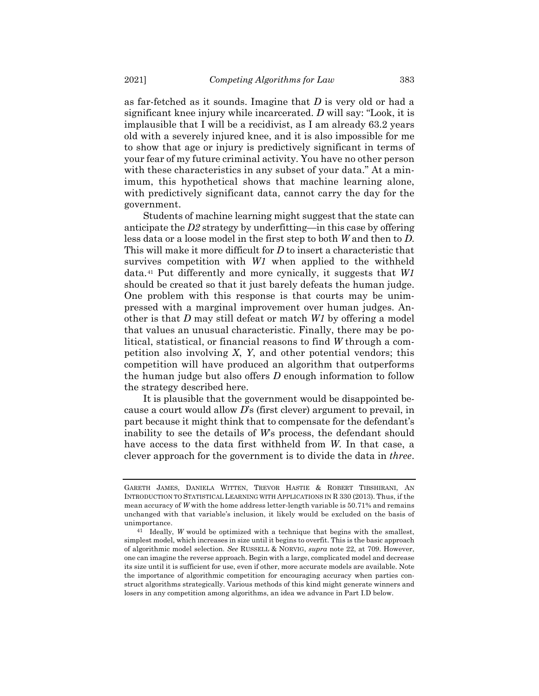as far-fetched as it sounds. Imagine that *D* is very old or had a significant knee injury while incarcerated. *D* will say: "Look, it is implausible that I will be a recidivist, as I am already 63.2 years old with a severely injured knee, and it is also impossible for me to show that age or injury is predictively significant in terms of your fear of my future criminal activity. You have no other person with these characteristics in any subset of your data." At a minimum, this hypothetical shows that machine learning alone, with predictively significant data, cannot carry the day for the government.

<span id="page-16-0"></span>Students of machine learning might suggest that the state can anticipate the *D2* strategy by underfitting—in this case by offering less data or a loose model in the first step to both *W* and then to *D*. This will make it more difficult for *D* to insert a characteristic that survives competition with *W1* when applied to the withheld data.[41](#page-16-1) Put differently and more cynically, it suggests that *W1* should be created so that it just barely defeats the human judge. One problem with this response is that courts may be unimpressed with a marginal improvement over human judges. Another is that *D* may still defeat or match *W1* by offering a model that values an unusual characteristic. Finally, there may be political, statistical, or financial reasons to find *W* through a competition also involving *X*, *Y*, and other potential vendors; this competition will have produced an algorithm that outperforms the human judge but also offers *D* enough information to follow the strategy described here.

It is plausible that the government would be disappointed because a court would allow *D*'s (first clever) argument to prevail, in part because it might think that to compensate for the defendant's inability to see the details of *W*'s process, the defendant should have access to the data first withheld from *W*. In that case, a clever approach for the government is to divide the data in *three*.

GARETH JAMES, DANIELA WITTEN, TREVOR HASTIE & ROBERT TIBSHIRANI, AN INTRODUCTION TO STATISTICAL LEARNING WITH APPLICATIONS IN R 330 (2013). Thus, if the mean accuracy of *W* with the home address letter-length variable is 50.71% and remains unchanged with that variable's inclusion, it likely would be excluded on the basis of unimportance.

<span id="page-16-1"></span><sup>41</sup> Ideally, *W* would be optimized with a technique that begins with the smallest, simplest model, which increases in size until it begins to overfit. This is the basic approach of algorithmic model selection. *See* RUSSELL & NORVIG, *supra* note [22,](#page-8-3) at 709. However, one can imagine the reverse approach. Begin with a large, complicated model and decrease its size until it is sufficient for use, even if other, more accurate models are available. Note the importance of algorithmic competition for encouraging accuracy when parties construct algorithms strategically. Various methods of this kind might generate winners and losers in any competition among algorithms, an idea we advance in Part I.D below.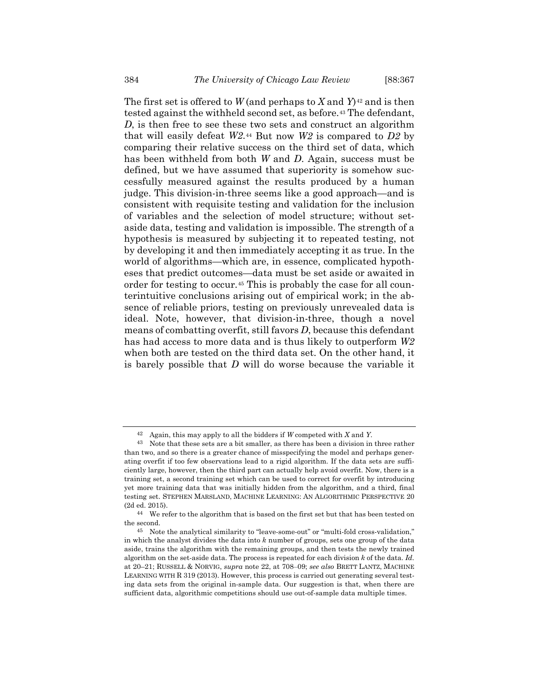The first set is offered to *W* (and perhaps to *X* and *Y*)<sup>[42](#page-17-0)</sup> and is then tested against the withheld second set, as before.[43](#page-17-1) The defendant, *D*, is then free to see these two sets and construct an algorithm that will easily defeat *W2*.[44](#page-17-2) But now *W2* is compared to *D2* by comparing their relative success on the third set of data, which has been withheld from both *W* and *D*. Again, success must be defined, but we have assumed that superiority is somehow successfully measured against the results produced by a human judge. This division-in-three seems like a good approach—and is consistent with requisite testing and validation for the inclusion of variables and the selection of model structure; without setaside data, testing and validation is impossible. The strength of a hypothesis is measured by subjecting it to repeated testing, not by developing it and then immediately accepting it as true. In the world of algorithms—which are, in essence, complicated hypotheses that predict outcomes—data must be set aside or awaited in order for testing to occur.[45](#page-17-3) This is probably the case for all counterintuitive conclusions arising out of empirical work; in the absence of reliable priors, testing on previously unrevealed data is ideal. Note, however, that division-in-three, though a novel means of combatting overfit, still favors *D*, because this defendant has had access to more data and is thus likely to outperform *W2* when both are tested on the third data set. On the other hand, it is barely possible that *D* will do worse because the variable it

<span id="page-17-4"></span><sup>42</sup> Again, this may apply to all the bidders if *W* competed with *X* and *Y*.

<span id="page-17-1"></span><span id="page-17-0"></span><sup>43</sup> Note that these sets are a bit smaller, as there has been a division in three rather than two, and so there is a greater chance of misspecifying the model and perhaps generating overfit if too few observations lead to a rigid algorithm. If the data sets are sufficiently large, however, then the third part can actually help avoid overfit. Now, there is a training set, a second training set which can be used to correct for overfit by introducing yet more training data that was initially hidden from the algorithm, and a third, final testing set. STEPHEN MARSLAND, MACHINE LEARNING: AN ALGORITHMIC PERSPECTIVE 20 (2d ed. 2015).

<span id="page-17-2"></span><sup>44</sup> We refer to the algorithm that is based on the first set but that has been tested on the second.

<span id="page-17-3"></span><sup>45</sup> Note the analytical similarity to "leave-some-out" or "multi-fold cross-validation," in which the analyst divides the data into *k* number of groups, sets one group of the data aside, trains the algorithm with the remaining groups, and then tests the newly trained algorithm on the set-aside data. The process is repeated for each division *k* of the data. *Id.* at 20–21; RUSSELL & NORVIG, *supra* not[e 22,](#page-8-3) at 708–09; *see also* BRETT LANTZ, MACHINE LEARNING WITH R 319 (2013). However, this process is carried out generating several testing data sets from the original in-sample data. Our suggestion is that, when there are sufficient data, algorithmic competitions should use out-of-sample data multiple times.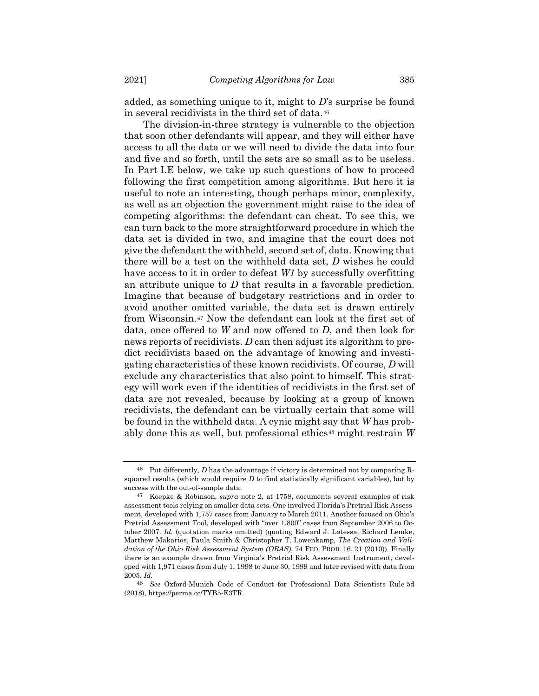added, as something unique to it, might to *D*'s surprise be found in several recidivists in the third set of data.[46](#page-18-0)

The division-in-three strategy is vulnerable to the objection that soon other defendants will appear, and they will either have access to all the data or we will need to divide the data into four and five and so forth, until the sets are so small as to be useless. In Part I.E below, we take up such questions of how to proceed following the first competition among algorithms. But here it is useful to note an interesting, though perhaps minor, complexity, as well as an objection the government might raise to the idea of competing algorithms: the defendant can cheat. To see this, we can turn back to the more straightforward procedure in which the data set is divided in two, and imagine that the court does not give the defendant the withheld, second set of, data. Knowing that there will be a test on the withheld data set, *D* wishes he could have access to it in order to defeat *W1* by successfully overfitting an attribute unique to *D* that results in a favorable prediction. Imagine that because of budgetary restrictions and in order to avoid another omitted variable, the data set is drawn entirely from Wisconsin.[47](#page-18-1) Now the defendant can look at the first set of data, once offered to *W* and now offered to *D*, and then look for news reports of recidivists. *D* can then adjust its algorithm to predict recidivists based on the advantage of knowing and investigating characteristics of these known recidivists. Of course, *D* will exclude any characteristics that also point to himself. This strategy will work even if the identities of recidivists in the first set of data are not revealed, because by looking at a group of known recidivists, the defendant can be virtually certain that some will be found in the withheld data. A cynic might say that *W* has prob-ably done this as well, but professional ethics<sup>[48](#page-18-2)</sup> might restrain W

<span id="page-18-0"></span><sup>46</sup> Put differently, *D* has the advantage if victory is determined not by comparing Rsquared results (which would require *D* to find statistically significant variables), but by success with the out-of-sample data.

<span id="page-18-1"></span><sup>47</sup> Koepke & Robinson, *supra* note [2,](#page-1-3) at 1758, documents several examples of risk assessment tools relying on smaller data sets. One involved Florida's Pretrial Risk Assessment, developed with 1,757 cases from January to March 2011. Another focused on Ohio's Pretrial Assessment Tool, developed with "over 1,800" cases from September 2006 to October 2007. *Id.* (quotation marks omitted) (quoting Edward J. Latessa, Richard Lemke, Matthew Makarios, Paula Smith & Christopher T. Lowenkamp, *The Creation and Validation of the Ohio Risk Assessment System (ORAS)*, 74 FED. PROB. 16, 21 (2010)). Finally there is an example drawn from Virginia's Pretrial Risk Assessment Instrument, developed with 1,971 cases from July 1, 1998 to June 30, 1999 and later revised with data from 2005. *Id.*

<span id="page-18-2"></span><sup>48</sup> *See* Oxford-Munich Code of Conduct for Professional Data Scientists Rule 5d (2018), https://perma.cc/TYB5-E3TR.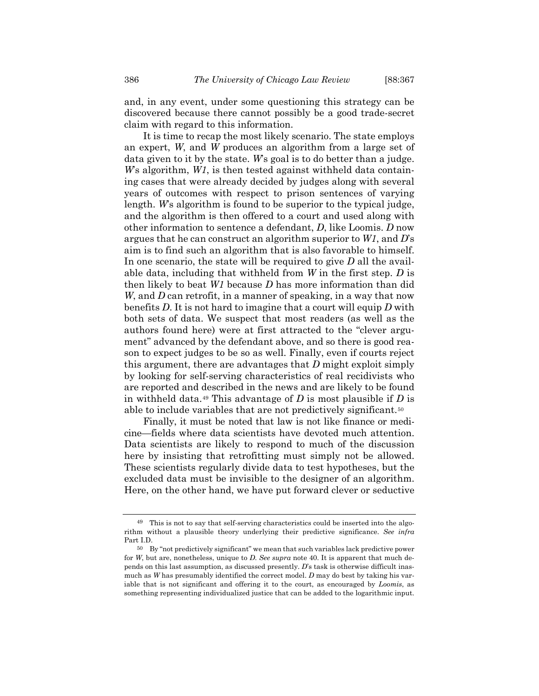and, in any event, under some questioning this strategy can be discovered because there cannot possibly be a good trade-secret claim with regard to this information.

It is time to recap the most likely scenario. The state employs an expert, *W*, and *W* produces an algorithm from a large set of data given to it by the state. *W*'s goal is to do better than a judge. *W*'s algorithm, *W1*, is then tested against withheld data containing cases that were already decided by judges along with several years of outcomes with respect to prison sentences of varying length. *W*'s algorithm is found to be superior to the typical judge, and the algorithm is then offered to a court and used along with other information to sentence a defendant, *D*, like Loomis. *D* now argues that he can construct an algorithm superior to *W1*, and *D*'s aim is to find such an algorithm that is also favorable to himself. In one scenario, the state will be required to give *D* all the available data, including that withheld from *W* in the first step. *D* is then likely to beat *W1* because *D* has more information than did *W*, and *D* can retrofit, in a manner of speaking, in a way that now benefits *D*. It is not hard to imagine that a court will equip *D* with both sets of data. We suspect that most readers (as well as the authors found here) were at first attracted to the "clever argument" advanced by the defendant above, and so there is good reason to expect judges to be so as well. Finally, even if courts reject this argument, there are advantages that *D* might exploit simply by looking for self-serving characteristics of real recidivists who are reported and described in the news and are likely to be found in withheld data.[49](#page-19-0) This advantage of *D* is most plausible if *D* is able to include variables that are not predictively significant.[50](#page-19-1)

Finally, it must be noted that law is not like finance or medicine—fields where data scientists have devoted much attention. Data scientists are likely to respond to much of the discussion here by insisting that retrofitting must simply not be allowed. These scientists regularly divide data to test hypotheses, but the excluded data must be invisible to the designer of an algorithm. Here, on the other hand, we have put forward clever or seductive

<span id="page-19-0"></span><sup>49</sup> This is not to say that self-serving characteristics could be inserted into the algorithm without a plausible theory underlying their predictive significance. *See infra* Part I.D.

<span id="page-19-1"></span><sup>50</sup> By "not predictively significant" we mean that such variables lack predictive power for *W*, but are, nonetheless, unique to *D*. *See supra* note [40.](#page-15-1) It is apparent that much depends on this last assumption, as discussed presently. *D*'s task is otherwise difficult inasmuch as *W* has presumably identified the correct model. *D* may do best by taking his variable that is not significant and offering it to the court, as encouraged by *Loomis*, as something representing individualized justice that can be added to the logarithmic input.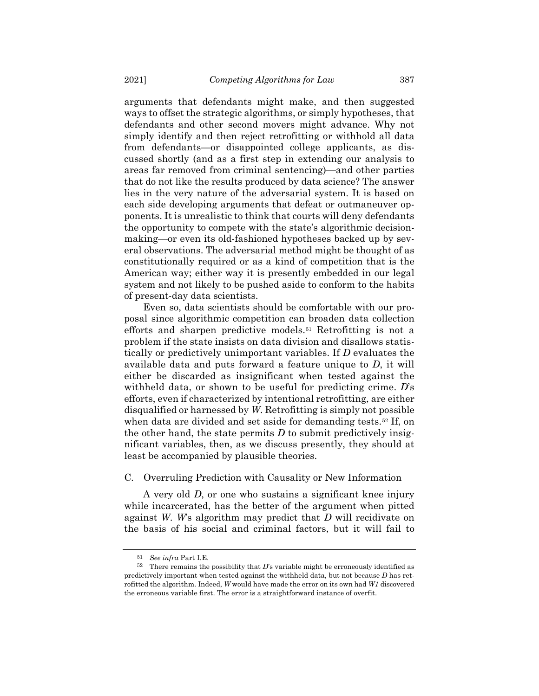arguments that defendants might make, and then suggested ways to offset the strategic algorithms, or simply hypotheses, that defendants and other second movers might advance. Why not simply identify and then reject retrofitting or withhold all data from defendants—or disappointed college applicants, as discussed shortly (and as a first step in extending our analysis to areas far removed from criminal sentencing)—and other parties that do not like the results produced by data science? The answer lies in the very nature of the adversarial system. It is based on each side developing arguments that defeat or outmaneuver opponents. It is unrealistic to think that courts will deny defendants the opportunity to compete with the state's algorithmic decisionmaking—or even its old-fashioned hypotheses backed up by several observations. The adversarial method might be thought of as constitutionally required or as a kind of competition that is the American way; either way it is presently embedded in our legal system and not likely to be pushed aside to conform to the habits of present-day data scientists.

Even so, data scientists should be comfortable with our proposal since algorithmic competition can broaden data collection efforts and sharpen predictive models.[51](#page-20-0) Retrofitting is not a problem if the state insists on data division and disallows statistically or predictively unimportant variables. If *D* evaluates the available data and puts forward a feature unique to *D*, it will either be discarded as insignificant when tested against the withheld data, or shown to be useful for predicting crime. *D*'s efforts, even if characterized by intentional retrofitting, are either disqualified or harnessed by *W*. Retrofitting is simply not possible when data are divided and set aside for demanding tests.<sup>[52](#page-20-1)</sup> If, on the other hand, the state permits *D* to submit predictively insignificant variables, then, as we discuss presently, they should at least be accompanied by plausible theories.

### C. Overruling Prediction with Causality or New Information

A very old *D*, or one who sustains a significant knee injury while incarcerated, has the better of the argument when pitted against *W*. *W*'s algorithm may predict that *D* will recidivate on the basis of his social and criminal factors, but it will fail to

<sup>51</sup> *See infra* Part I.E.

<span id="page-20-1"></span><span id="page-20-0"></span> $52$  There remains the possibility that *D*'s variable might be erroneously identified as predictively important when tested against the withheld data, but not because *D* has retrofitted the algorithm. Indeed, *W* would have made the error on its own had *W1* discovered the erroneous variable first. The error is a straightforward instance of overfit.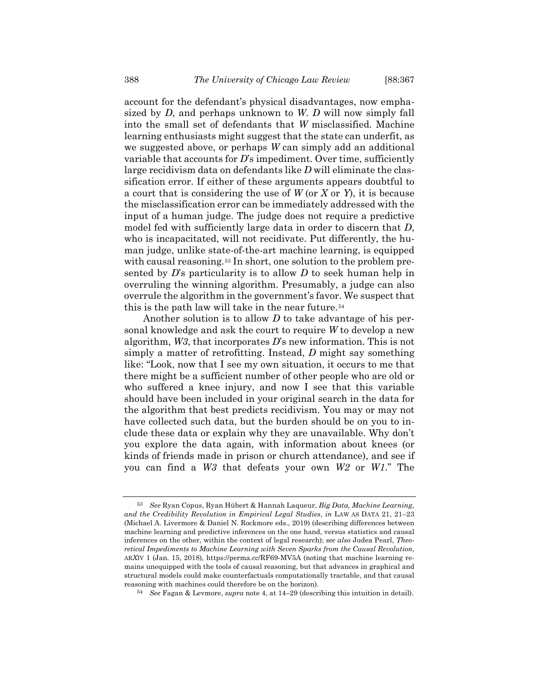account for the defendant's physical disadvantages, now emphasized by *D*, and perhaps unknown to *W*. *D* will now simply fall into the small set of defendants that *W* misclassified. Machine learning enthusiasts might suggest that the state can underfit, as we suggested above, or perhaps *W* can simply add an additional variable that accounts for *D*'s impediment. Over time, sufficiently large recidivism data on defendants like *D* will eliminate the classification error. If either of these arguments appears doubtful to a court that is considering the use of *W* (or *X* or *Y*), it is because the misclassification error can be immediately addressed with the input of a human judge. The judge does not require a predictive model fed with sufficiently large data in order to discern that *D*, who is incapacitated, will not recidivate. Put differently, the human judge, unlike state-of-the-art machine learning, is equipped with causal reasoning.<sup>[53](#page-21-0)</sup> In short, one solution to the problem presented by *D*'s particularity is to allow *D* to seek human help in overruling the winning algorithm. Presumably, a judge can also overrule the algorithm in the government's favor. We suspect that this is the path law will take in the near future.[54](#page-21-1)

<span id="page-21-2"></span>Another solution is to allow *D* to take advantage of his personal knowledge and ask the court to require *W* to develop a new algorithm, *W3*, that incorporates *D*'s new information. This is not simply a matter of retrofitting. Instead, *D* might say something like: "Look, now that I see my own situation, it occurs to me that there might be a sufficient number of other people who are old or who suffered a knee injury, and now I see that this variable should have been included in your original search in the data for the algorithm that best predicts recidivism. You may or may not have collected such data, but the burden should be on you to include these data or explain why they are unavailable. Why don't you explore the data again, with information about knees (or kinds of friends made in prison or church attendance), and see if you can find a *W3* that defeats your own *W2* or *W1*." The

<span id="page-21-0"></span><sup>53</sup> *See* Ryan Copus, Ryan Hübert & Hannah Laqueur, *Big Data, Machine Learning, and the Credibility Revolution in Empirical Legal Studies*, *in* LAW AS DATA 21, 21–23 (Michael A. Livermore & Daniel N. Rockmore eds., 2019) (describing differences between machine learning and predictive inferences on the one hand, versus statistics and causal inferences on the other, within the context of legal research); *see also* Judea Pearl, *Theoretical Impediments to Machine Learning with Seven Sparks from the Causal Revolution*, AR*X*IV 1 (Jan. 15, 2018), https://perma.cc/RF69-MV5A (noting that machine learning remains unequipped with the tools of causal reasoning, but that advances in graphical and structural models could make counterfactuals computationally tractable, and that causal reasoning with machines could therefore be on the horizon).

<span id="page-21-1"></span><sup>54</sup> *See* Fagan & Levmore, *supra* not[e 4,](#page-2-2) at 14–29 (describing this intuition in detail).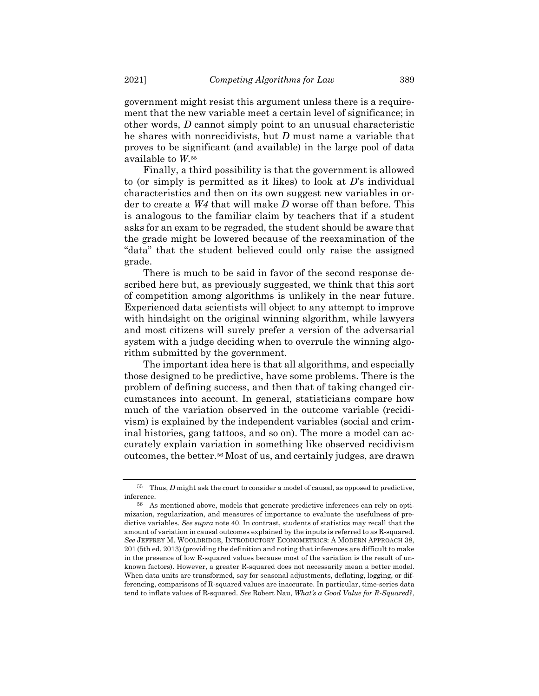government might resist this argument unless there is a requirement that the new variable meet a certain level of significance; in other words, *D* cannot simply point to an unusual characteristic he shares with nonrecidivists, but *D* must name a variable that proves to be significant (and available) in the large pool of data available to *W*.[55](#page-22-0)

Finally, a third possibility is that the government is allowed to (or simply is permitted as it likes) to look at *D*'s individual characteristics and then on its own suggest new variables in order to create a *W4* that will make *D* worse off than before. This is analogous to the familiar claim by teachers that if a student asks for an exam to be regraded, the student should be aware that the grade might be lowered because of the reexamination of the "data" that the student believed could only raise the assigned grade.

There is much to be said in favor of the second response described here but, as previously suggested, we think that this sort of competition among algorithms is unlikely in the near future. Experienced data scientists will object to any attempt to improve with hindsight on the original winning algorithm, while lawyers and most citizens will surely prefer a version of the adversarial system with a judge deciding when to overrule the winning algorithm submitted by the government.

The important idea here is that all algorithms, and especially those designed to be predictive, have some problems. There is the problem of defining success, and then that of taking changed circumstances into account. In general, statisticians compare how much of the variation observed in the outcome variable (recidivism) is explained by the independent variables (social and criminal histories, gang tattoos, and so on). The more a model can accurately explain variation in something like observed recidivism outcomes, the better.[56](#page-22-1) Most of us, and certainly judges, are drawn

<span id="page-22-0"></span><sup>55</sup> Thus, *D* might ask the court to consider a model of causal, as opposed to predictive, inference.

<span id="page-22-1"></span><sup>56</sup> As mentioned above, models that generate predictive inferences can rely on optimization, regularization, and measures of importance to evaluate the usefulness of predictive variables. *See supra* not[e 40.](#page-15-1) In contrast, students of statistics may recall that the amount of variation in causal outcomes explained by the inputs is referred to as R-squared. *See* JEFFREY M. WOOLDRIDGE, INTRODUCTORY ECONOMETRICS: A MODERN APPROACH 38, 201 (5th ed. 2013) (providing the definition and noting that inferences are difficult to make in the presence of low R-squared values because most of the variation is the result of unknown factors). However, a greater R-squared does not necessarily mean a better model. When data units are transformed, say for seasonal adjustments, deflating, logging, or differencing, comparisons of R-squared values are inaccurate. In particular, time-series data tend to inflate values of R-squared. *See* Robert Nau, *What's a Good Value for R-Squared?*,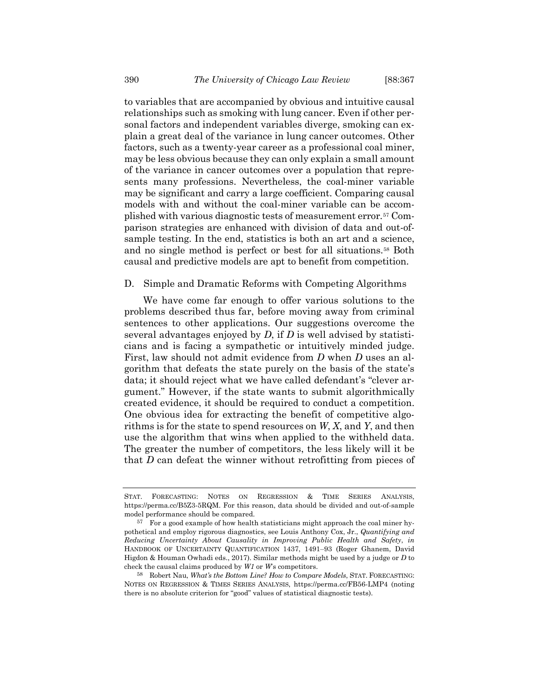to variables that are accompanied by obvious and intuitive causal relationships such as smoking with lung cancer. Even if other personal factors and independent variables diverge, smoking can explain a great deal of the variance in lung cancer outcomes. Other factors, such as a twenty-year career as a professional coal miner, may be less obvious because they can only explain a small amount of the variance in cancer outcomes over a population that represents many professions. Nevertheless, the coal-miner variable may be significant and carry a large coefficient. Comparing causal models with and without the coal-miner variable can be accomplished with various diagnostic tests of measurement error.[57](#page-23-0) Comparison strategies are enhanced with division of data and out-ofsample testing. In the end, statistics is both an art and a science, and no single method is perfect or best for all situations.[58](#page-23-1) Both causal and predictive models are apt to benefit from competition.

### D. Simple and Dramatic Reforms with Competing Algorithms

We have come far enough to offer various solutions to the problems described thus far, before moving away from criminal sentences to other applications. Our suggestions overcome the several advantages enjoyed by *D*, if *D* is well advised by statisticians and is facing a sympathetic or intuitively minded judge. First, law should not admit evidence from *D* when *D* uses an algorithm that defeats the state purely on the basis of the state's data; it should reject what we have called defendant's "clever argument." However, if the state wants to submit algorithmically created evidence, it should be required to conduct a competition. One obvious idea for extracting the benefit of competitive algorithms is for the state to spend resources on *W*, *X*, and *Y*, and then use the algorithm that wins when applied to the withheld data. The greater the number of competitors, the less likely will it be that *D* can defeat the winner without retrofitting from pieces of

STAT. FORECASTING: NOTES ON REGRESSION & TIME SERIES ANALYSIS, https://perma.cc/B5Z3-5RQM. For this reason, data should be divided and out-of-sample model performance should be compared.

<span id="page-23-0"></span><sup>57</sup> For a good example of how health statisticians might approach the coal miner hypothetical and employ rigorous diagnostics, see Louis Anthony Cox, Jr., *Quantifying and Reducing Uncertainty About Causality in Improving Public Health and Safety*, *in* HANDBOOK OF UNCERTAINTY QUANTIFICATION 1437, 1491–93 (Roger Ghanem, David Higdon & Houman Owhadi eds., 2017). Similar methods might be used by a judge or *D* to check the causal claims produced by *W1* or *W*'s competitors.

<span id="page-23-1"></span><sup>58</sup> Robert Nau, *What's the Bottom Line? How to Compare Models*, STAT. FORECASTING: NOTES ON REGRESSION & TIMES SERIES ANALYSIS, https://perma.cc/FB56-LMP4 (noting there is no absolute criterion for "good" values of statistical diagnostic tests).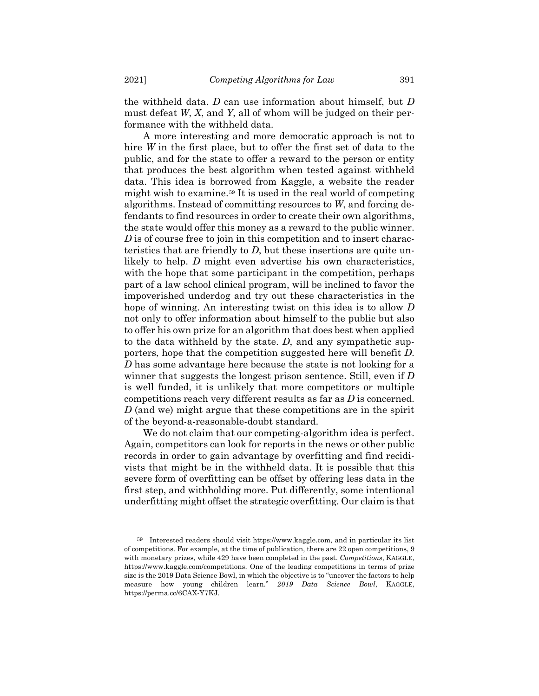the withheld data. *D* can use information about himself, but *D* must defeat *W*, *X*, and *Y*, all of whom will be judged on their performance with the withheld data.

A more interesting and more democratic approach is not to hire *W* in the first place, but to offer the first set of data to the public, and for the state to offer a reward to the person or entity that produces the best algorithm when tested against withheld data. This idea is borrowed from Kaggle, a website the reader might wish to examine.[59](#page-24-0) It is used in the real world of competing algorithms. Instead of committing resources to *W*, and forcing defendants to find resources in order to create their own algorithms, the state would offer this money as a reward to the public winner. *D* is of course free to join in this competition and to insert characteristics that are friendly to *D*, but these insertions are quite unlikely to help. *D* might even advertise his own characteristics, with the hope that some participant in the competition, perhaps part of a law school clinical program, will be inclined to favor the impoverished underdog and try out these characteristics in the hope of winning. An interesting twist on this idea is to allow *D* not only to offer information about himself to the public but also to offer his own prize for an algorithm that does best when applied to the data withheld by the state. *D*, and any sympathetic supporters, hope that the competition suggested here will benefit *D*. *D* has some advantage here because the state is not looking for a winner that suggests the longest prison sentence. Still, even if *D* is well funded, it is unlikely that more competitors or multiple competitions reach very different results as far as *D* is concerned. *D* (and we) might argue that these competitions are in the spirit of the beyond-a-reasonable-doubt standard.

We do not claim that our competing-algorithm idea is perfect. Again, competitors can look for reports in the news or other public records in order to gain advantage by overfitting and find recidivists that might be in the withheld data. It is possible that this severe form of overfitting can be offset by offering less data in the first step, and withholding more. Put differently, some intentional underfitting might offset the strategic overfitting. Our claim is that

<span id="page-24-0"></span><sup>59</sup> Interested readers should visit https://www.kaggle.com, and in particular its list of competitions. For example, at the time of publication, there are 22 open competitions, 9 with monetary prizes, while 429 have been completed in the past. *Competitions*, KAGGLE, https://www.kaggle.com/competitions. One of the leading competitions in terms of prize size is the 2019 Data Science Bowl, in which the objective is to "uncover the factors to help measure how young children learn." *2019 Data Science Bowl*, KAGGLE, https://perma.cc/6CAX-Y7KJ.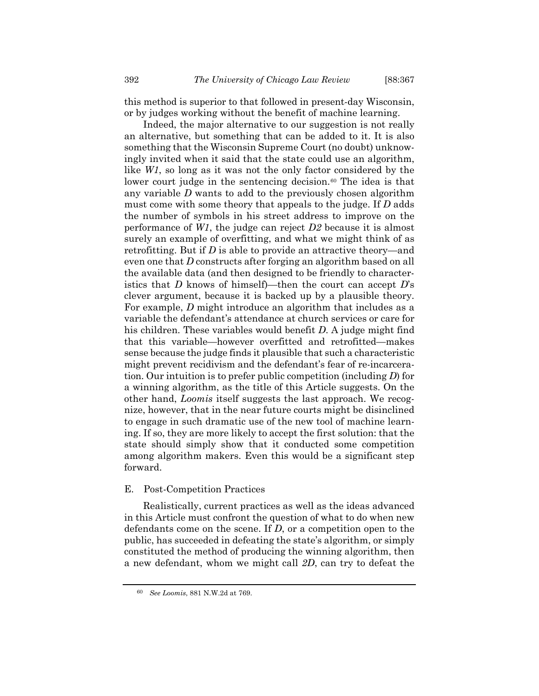this method is superior to that followed in present-day Wisconsin, or by judges working without the benefit of machine learning.

Indeed, the major alternative to our suggestion is not really an alternative, but something that can be added to it. It is also something that the Wisconsin Supreme Court (no doubt) unknowingly invited when it said that the state could use an algorithm, like *W1*, so long as it was not the only factor considered by the lower court judge in the sentencing decision.<sup>[60](#page-25-0)</sup> The idea is that any variable *D* wants to add to the previously chosen algorithm must come with some theory that appeals to the judge. If *D* adds the number of symbols in his street address to improve on the performance of *W1*, the judge can reject *D2* because it is almost surely an example of overfitting, and what we might think of as retrofitting. But if *D* is able to provide an attractive theory—and even one that *D* constructs after forging an algorithm based on all the available data (and then designed to be friendly to characteristics that *D* knows of himself)—then the court can accept *D*'s clever argument, because it is backed up by a plausible theory. For example, *D* might introduce an algorithm that includes as a variable the defendant's attendance at church services or care for his children. These variables would benefit *D*. A judge might find that this variable—however overfitted and retrofitted—makes sense because the judge finds it plausible that such a characteristic might prevent recidivism and the defendant's fear of re-incarceration. Our intuition is to prefer public competition (including *D*) for a winning algorithm, as the title of this Article suggests. On the other hand, *Loomis* itself suggests the last approach. We recognize, however, that in the near future courts might be disinclined to engage in such dramatic use of the new tool of machine learning. If so, they are more likely to accept the first solution: that the state should simply show that it conducted some competition among algorithm makers. Even this would be a significant step forward.

### E. Post-Competition Practices

Realistically, current practices as well as the ideas advanced in this Article must confront the question of what to do when new defendants come on the scene. If *D*, or a competition open to the public, has succeeded in defeating the state's algorithm, or simply constituted the method of producing the winning algorithm, then a new defendant, whom we might call *2D*, can try to defeat the

<span id="page-25-0"></span><sup>60</sup> *See Loomis*, 881 N.W.2d at 769.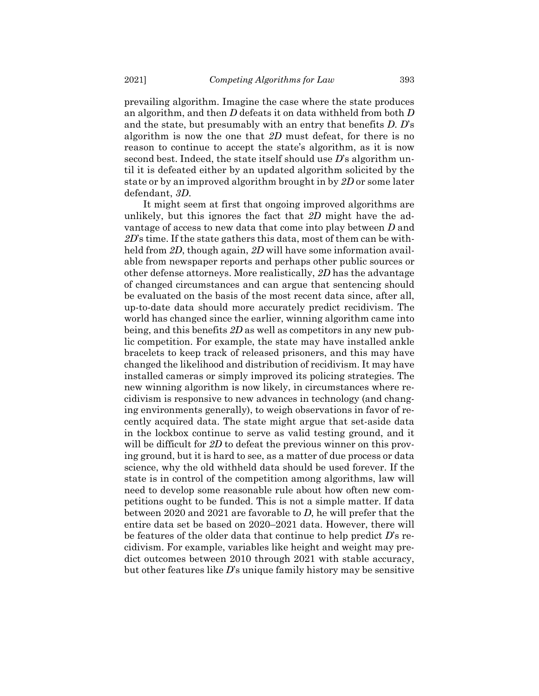prevailing algorithm. Imagine the case where the state produces an algorithm, and then *D* defeats it on data withheld from both *D* and the state, but presumably with an entry that benefits *D*. *D*'s algorithm is now the one that *2D* must defeat, for there is no reason to continue to accept the state's algorithm, as it is now second best. Indeed, the state itself should use *D*'s algorithm until it is defeated either by an updated algorithm solicited by the state or by an improved algorithm brought in by *2D* or some later defendant, *3D*.

It might seem at first that ongoing improved algorithms are unlikely, but this ignores the fact that *2D* might have the advantage of access to new data that come into play between *D* and *2D*'s time. If the state gathers this data, most of them can be withheld from *2D*, though again, *2D* will have some information available from newspaper reports and perhaps other public sources or other defense attorneys. More realistically, *2D* has the advantage of changed circumstances and can argue that sentencing should be evaluated on the basis of the most recent data since, after all, up-to-date data should more accurately predict recidivism. The world has changed since the earlier, winning algorithm came into being, and this benefits *2D* as well as competitors in any new public competition. For example, the state may have installed ankle bracelets to keep track of released prisoners, and this may have changed the likelihood and distribution of recidivism. It may have installed cameras or simply improved its policing strategies. The new winning algorithm is now likely, in circumstances where recidivism is responsive to new advances in technology (and changing environments generally), to weigh observations in favor of recently acquired data. The state might argue that set-aside data in the lockbox continue to serve as valid testing ground, and it will be difficult for 2D to defeat the previous winner on this proving ground, but it is hard to see, as a matter of due process or data science, why the old withheld data should be used forever. If the state is in control of the competition among algorithms, law will need to develop some reasonable rule about how often new competitions ought to be funded. This is not a simple matter. If data between 2020 and 2021 are favorable to *D*, he will prefer that the entire data set be based on 2020–2021 data. However, there will be features of the older data that continue to help predict *D*'s recidivism. For example, variables like height and weight may predict outcomes between 2010 through 2021 with stable accuracy, but other features like *D*'s unique family history may be sensitive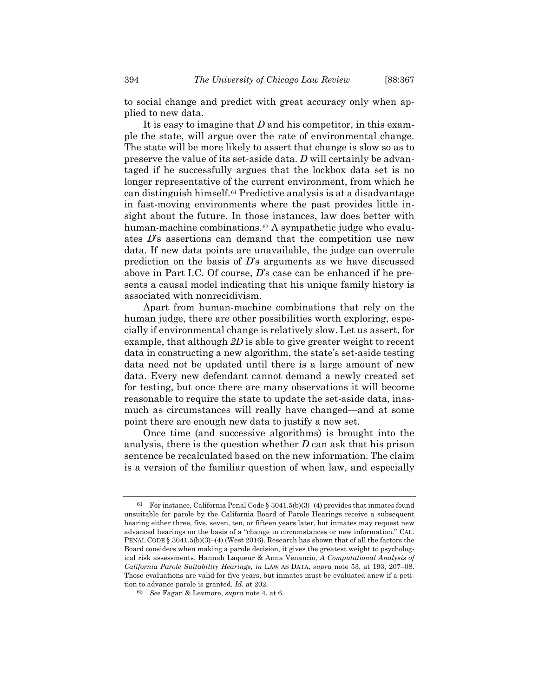to social change and predict with great accuracy only when applied to new data.

It is easy to imagine that *D* and his competitor, in this example the state, will argue over the rate of environmental change. The state will be more likely to assert that change is slow so as to preserve the value of its set-aside data. *D* will certainly be advantaged if he successfully argues that the lockbox data set is no longer representative of the current environment, from which he can distinguish himself.[61](#page-27-0) Predictive analysis is at a disadvantage in fast-moving environments where the past provides little insight about the future. In those instances, law does better with human-machine combinations.<sup>[62](#page-27-1)</sup> A sympathetic judge who evaluates *D*'s assertions can demand that the competition use new data. If new data points are unavailable, the judge can overrule prediction on the basis of *D*'s arguments as we have discussed above in Part I.C. Of course, *D*'s case can be enhanced if he presents a causal model indicating that his unique family history is associated with nonrecidivism.

Apart from human-machine combinations that rely on the human judge, there are other possibilities worth exploring, especially if environmental change is relatively slow. Let us assert, for example, that although *2D* is able to give greater weight to recent data in constructing a new algorithm, the state's set-aside testing data need not be updated until there is a large amount of new data. Every new defendant cannot demand a newly created set for testing, but once there are many observations it will become reasonable to require the state to update the set-aside data, inasmuch as circumstances will really have changed—and at some point there are enough new data to justify a new set.

Once time (and successive algorithms) is brought into the analysis, there is the question whether *D* can ask that his prison sentence be recalculated based on the new information. The claim is a version of the familiar question of when law, and especially

<span id="page-27-0"></span><sup>61</sup> For instance, California Penal Code § 3041.5(b)(3)–(4) provides that inmates found unsuitable for parole by the California Board of Parole Hearings receive a subsequent hearing either three, five, seven, ten, or fifteen years later, but inmates may request new advanced hearings on the basis of a "change in circumstances or new information." CAL. PENAL CODE § 3041.5(b)(3)–(4) (West 2016). Research has shown that of all the factors the Board considers when making a parole decision, it gives the greatest weight to psychological risk assessments. Hannah Laqueur & Anna Venancio, *A Computational Analysis of California Parole Suitability Hearings*, *in* LAW AS DATA, *supra* note [53,](#page-21-2) at 193, 207–08. Those evaluations are valid for five years, but inmates must be evaluated anew if a petition to advance parole is granted. *Id.* at 202.

<span id="page-27-1"></span><sup>62</sup> *See* Fagan & Levmore, *supra* not[e 4,](#page-2-2) at 6.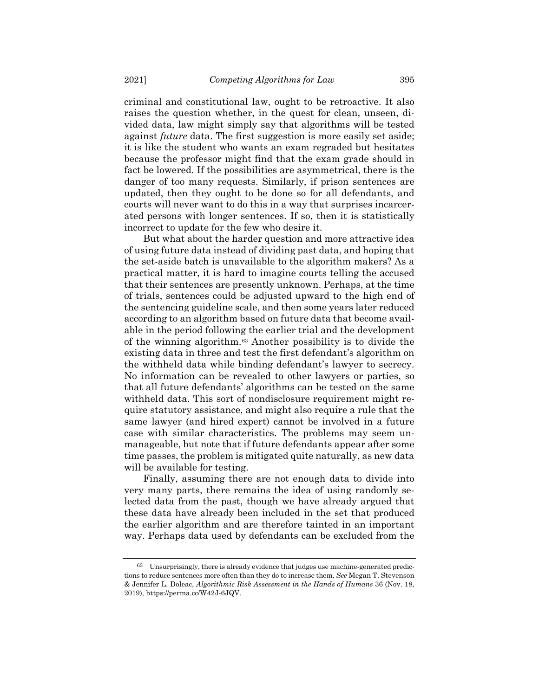criminal and constitutional law, ought to be retroactive. It also raises the question whether, in the quest for clean, unseen, divided data, law might simply say that algorithms will be tested against *future* data. The first suggestion is more easily set aside; it is like the student who wants an exam regraded but hesitates because the professor might find that the exam grade should in fact be lowered. If the possibilities are asymmetrical, there is the danger of too many requests. Similarly, if prison sentences are updated, then they ought to be done so for all defendants, and courts will never want to do this in a way that surprises incarcerated persons with longer sentences. If so, then it is statistically incorrect to update for the few who desire it.

But what about the harder question and more attractive idea of using future data instead of dividing past data, and hoping that the set-aside batch is unavailable to the algorithm makers? As a practical matter, it is hard to imagine courts telling the accused that their sentences are presently unknown. Perhaps, at the time of trials, sentences could be adjusted upward to the high end of the sentencing guideline scale, and then some years later reduced according to an algorithm based on future data that become available in the period following the earlier trial and the development of the winning algorithm.[63](#page-28-0) Another possibility is to divide the existing data in three and test the first defendant's algorithm on the withheld data while binding defendant's lawyer to secrecy. No information can be revealed to other lawyers or parties, so that all future defendants' algorithms can be tested on the same withheld data. This sort of nondisclosure requirement might require statutory assistance, and might also require a rule that the same lawyer (and hired expert) cannot be involved in a future case with similar characteristics. The problems may seem unmanageable, but note that if future defendants appear after some time passes, the problem is mitigated quite naturally, as new data will be available for testing.

Finally, assuming there are not enough data to divide into very many parts, there remains the idea of using randomly selected data from the past, though we have already argued that these data have already been included in the set that produced the earlier algorithm and are therefore tainted in an important way. Perhaps data used by defendants can be excluded from the

<span id="page-28-0"></span><sup>63</sup> Unsurprisingly, there is already evidence that judges use machine-generated predictions to reduce sentences more often than they do to increase them. *See* Megan T. Stevenson & Jennifer L. Doleac, *Algorithmic Risk Assessment in the Hands of Humans* 36 (Nov. 18, 2019), https://perma.cc/W42J-6JQV.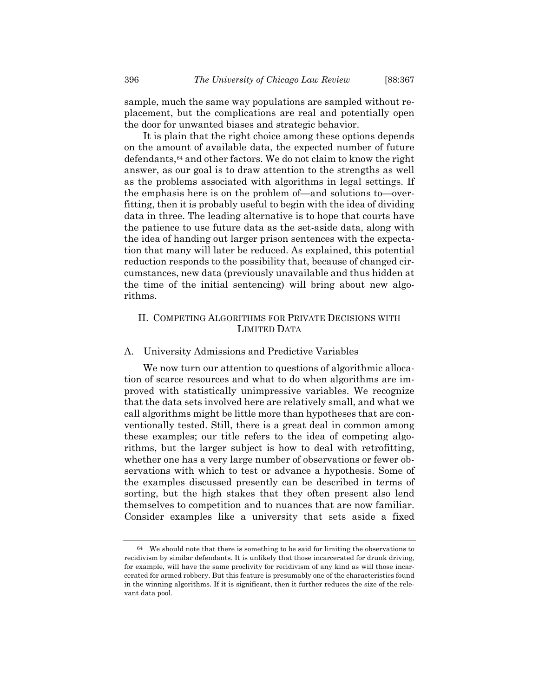sample, much the same way populations are sampled without replacement, but the complications are real and potentially open the door for unwanted biases and strategic behavior.

It is plain that the right choice among these options depends on the amount of available data, the expected number of future defendants,<sup>[64](#page-29-0)</sup> and other factors. We do not claim to know the right answer, as our goal is to draw attention to the strengths as well as the problems associated with algorithms in legal settings. If the emphasis here is on the problem of—and solutions to—overfitting, then it is probably useful to begin with the idea of dividing data in three. The leading alternative is to hope that courts have the patience to use future data as the set-aside data, along with the idea of handing out larger prison sentences with the expectation that many will later be reduced. As explained, this potential reduction responds to the possibility that, because of changed circumstances, new data (previously unavailable and thus hidden at the time of the initial sentencing) will bring about new algorithms.

# II. COMPETING ALGORITHMS FOR PRIVATE DECISIONS WITH LIMITED DATA

### A. University Admissions and Predictive Variables

We now turn our attention to questions of algorithmic allocation of scarce resources and what to do when algorithms are improved with statistically unimpressive variables. We recognize that the data sets involved here are relatively small, and what we call algorithms might be little more than hypotheses that are conventionally tested. Still, there is a great deal in common among these examples; our title refers to the idea of competing algorithms, but the larger subject is how to deal with retrofitting, whether one has a very large number of observations or fewer observations with which to test or advance a hypothesis. Some of the examples discussed presently can be described in terms of sorting, but the high stakes that they often present also lend themselves to competition and to nuances that are now familiar. Consider examples like a university that sets aside a fixed

<span id="page-29-0"></span><sup>64</sup> We should note that there is something to be said for limiting the observations to recidivism by similar defendants. It is unlikely that those incarcerated for drunk driving, for example, will have the same proclivity for recidivism of any kind as will those incarcerated for armed robbery. But this feature is presumably one of the characteristics found in the winning algorithms. If it is significant, then it further reduces the size of the relevant data pool.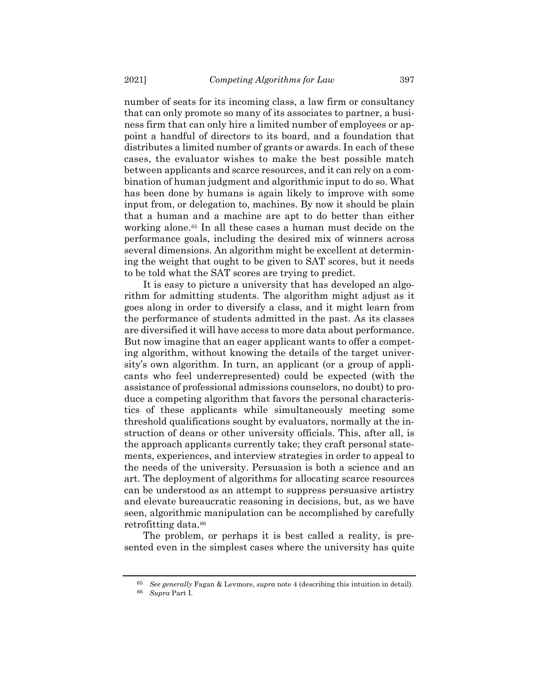number of seats for its incoming class, a law firm or consultancy that can only promote so many of its associates to partner, a business firm that can only hire a limited number of employees or appoint a handful of directors to its board, and a foundation that distributes a limited number of grants or awards. In each of these cases, the evaluator wishes to make the best possible match between applicants and scarce resources, and it can rely on a combination of human judgment and algorithmic input to do so. What has been done by humans is again likely to improve with some input from, or delegation to, machines. By now it should be plain that a human and a machine are apt to do better than either working alone.<sup>[65](#page-30-0)</sup> In all these cases a human must decide on the performance goals, including the desired mix of winners across several dimensions. An algorithm might be excellent at determining the weight that ought to be given to SAT scores, but it needs to be told what the SAT scores are trying to predict.

It is easy to picture a university that has developed an algorithm for admitting students. The algorithm might adjust as it goes along in order to diversify a class, and it might learn from the performance of students admitted in the past. As its classes are diversified it will have access to more data about performance. But now imagine that an eager applicant wants to offer a competing algorithm, without knowing the details of the target university's own algorithm. In turn, an applicant (or a group of applicants who feel underrepresented) could be expected (with the assistance of professional admissions counselors, no doubt) to produce a competing algorithm that favors the personal characteristics of these applicants while simultaneously meeting some threshold qualifications sought by evaluators, normally at the instruction of deans or other university officials. This, after all, is the approach applicants currently take; they craft personal statements, experiences, and interview strategies in order to appeal to the needs of the university. Persuasion is both a science and an art. The deployment of algorithms for allocating scarce resources can be understood as an attempt to suppress persuasive artistry and elevate bureaucratic reasoning in decisions, but, as we have seen, algorithmic manipulation can be accomplished by carefully retrofitting data.<sup>[66](#page-30-1)</sup>

<span id="page-30-1"></span><span id="page-30-0"></span>The problem, or perhaps it is best called a reality, is presented even in the simplest cases where the university has quite

<sup>65</sup> *See generally* Fagan & Levmore, *supra* note [4](#page-2-2) (describing this intuition in detail).

<sup>66</sup> *Supra* Part I.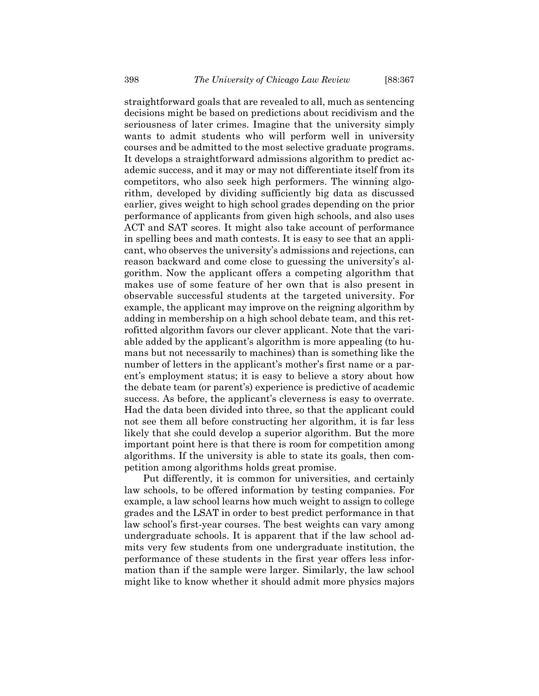straightforward goals that are revealed to all, much as sentencing decisions might be based on predictions about recidivism and the seriousness of later crimes. Imagine that the university simply wants to admit students who will perform well in university courses and be admitted to the most selective graduate programs. It develops a straightforward admissions algorithm to predict academic success, and it may or may not differentiate itself from its competitors, who also seek high performers. The winning algorithm, developed by dividing sufficiently big data as discussed earlier, gives weight to high school grades depending on the prior performance of applicants from given high schools, and also uses ACT and SAT scores. It might also take account of performance in spelling bees and math contests. It is easy to see that an applicant, who observes the university's admissions and rejections, can reason backward and come close to guessing the university's algorithm. Now the applicant offers a competing algorithm that makes use of some feature of her own that is also present in observable successful students at the targeted university. For example, the applicant may improve on the reigning algorithm by adding in membership on a high school debate team, and this retrofitted algorithm favors our clever applicant. Note that the variable added by the applicant's algorithm is more appealing (to humans but not necessarily to machines) than is something like the number of letters in the applicant's mother's first name or a parent's employment status; it is easy to believe a story about how the debate team (or parent's) experience is predictive of academic success. As before, the applicant's cleverness is easy to overrate. Had the data been divided into three, so that the applicant could not see them all before constructing her algorithm, it is far less likely that she could develop a superior algorithm. But the more important point here is that there is room for competition among algorithms. If the university is able to state its goals, then competition among algorithms holds great promise.

Put differently, it is common for universities, and certainly law schools, to be offered information by testing companies. For example, a law school learns how much weight to assign to college grades and the LSAT in order to best predict performance in that law school's first-year courses. The best weights can vary among undergraduate schools. It is apparent that if the law school admits very few students from one undergraduate institution, the performance of these students in the first year offers less information than if the sample were larger. Similarly, the law school might like to know whether it should admit more physics majors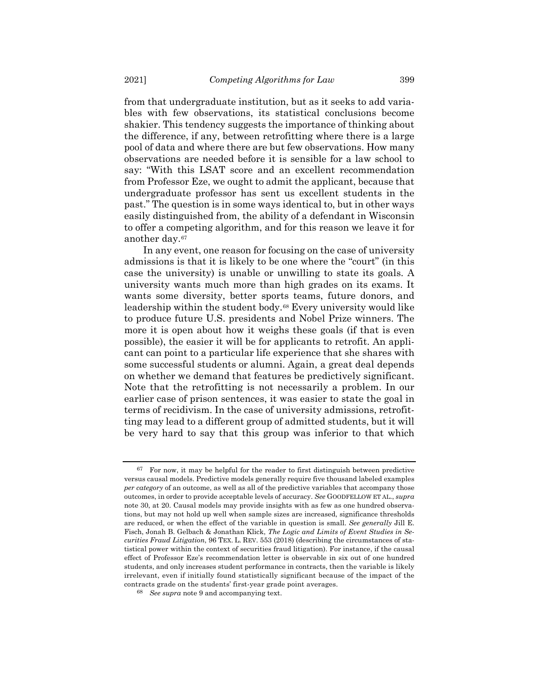from that undergraduate institution, but as it seeks to add variables with few observations, its statistical conclusions become shakier. This tendency suggests the importance of thinking about the difference, if any, between retrofitting where there is a large pool of data and where there are but few observations. How many observations are needed before it is sensible for a law school to say: "With this LSAT score and an excellent recommendation from Professor Eze, we ought to admit the applicant, because that undergraduate professor has sent us excellent students in the past." The question is in some ways identical to, but in other ways easily distinguished from, the ability of a defendant in Wisconsin to offer a competing algorithm, and for this reason we leave it for another day.[67](#page-32-0)

In any event, one reason for focusing on the case of university admissions is that it is likely to be one where the "court" (in this case the university) is unable or unwilling to state its goals. A university wants much more than high grades on its exams. It wants some diversity, better sports teams, future donors, and leadership within the student body.[68](#page-32-1) Every university would like to produce future U.S. presidents and Nobel Prize winners. The more it is open about how it weighs these goals (if that is even possible), the easier it will be for applicants to retrofit. An applicant can point to a particular life experience that she shares with some successful students or alumni. Again, a great deal depends on whether we demand that features be predictively significant. Note that the retrofitting is not necessarily a problem. In our earlier case of prison sentences, it was easier to state the goal in terms of recidivism. In the case of university admissions, retrofitting may lead to a different group of admitted students, but it will be very hard to say that this group was inferior to that which

<span id="page-32-0"></span> $67$  For now, it may be helpful for the reader to first distinguish between predictive versus causal models. Predictive models generally require five thousand labeled examples *per category* of an outcome, as well as all of the predictive variables that accompany those outcomes, in order to provide acceptable levels of accuracy. *See* GOODFELLOW ET AL., *supra* not[e 30,](#page-11-3) at 20. Causal models may provide insights with as few as one hundred observations, but may not hold up well when sample sizes are increased, significance thresholds are reduced, or when the effect of the variable in question is small. *See generally* Jill E. Fisch, Jonah B. Gelbach & Jonathan Klick, *The Logic and Limits of Event Studies in Securities Fraud Litigation*, 96 TEX. L. REV. 553 (2018) (describing the circumstances of statistical power within the context of securities fraud litigation). For instance, if the causal effect of Professor Eze's recommendation letter is observable in six out of one hundred students, and only increases student performance in contracts, then the variable is likely irrelevant, even if initially found statistically significant because of the impact of the contracts grade on the students' first-year grade point averages.

<span id="page-32-1"></span><sup>68</sup> *See supra* note [9](#page-3-4) and accompanying text.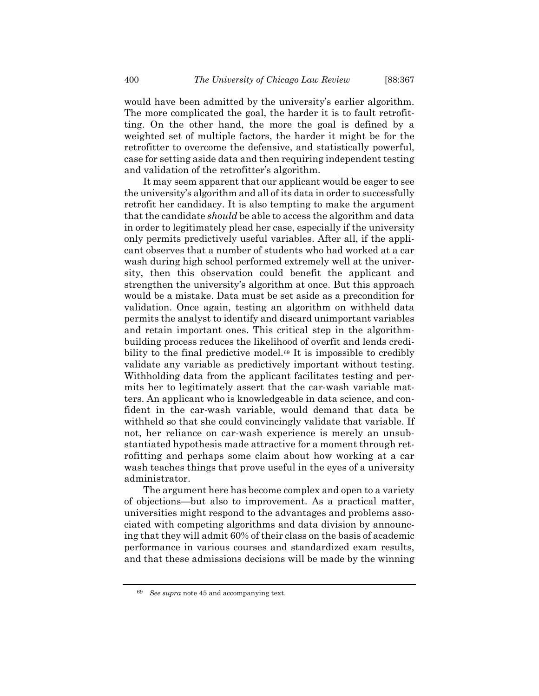would have been admitted by the university's earlier algorithm. The more complicated the goal, the harder it is to fault retrofitting. On the other hand, the more the goal is defined by a weighted set of multiple factors, the harder it might be for the retrofitter to overcome the defensive, and statistically powerful, case for setting aside data and then requiring independent testing and validation of the retrofitter's algorithm.

It may seem apparent that our applicant would be eager to see the university's algorithm and all of its data in order to successfully retrofit her candidacy. It is also tempting to make the argument that the candidate *should* be able to access the algorithm and data in order to legitimately plead her case, especially if the university only permits predictively useful variables. After all, if the applicant observes that a number of students who had worked at a car wash during high school performed extremely well at the university, then this observation could benefit the applicant and strengthen the university's algorithm at once. But this approach would be a mistake. Data must be set aside as a precondition for validation. Once again, testing an algorithm on withheld data permits the analyst to identify and discard unimportant variables and retain important ones. This critical step in the algorithmbuilding process reduces the likelihood of overfit and lends credi-bility to the final predictive model.<sup>[69](#page-33-0)</sup> It is impossible to credibly validate any variable as predictively important without testing. Withholding data from the applicant facilitates testing and permits her to legitimately assert that the car-wash variable matters. An applicant who is knowledgeable in data science, and confident in the car-wash variable, would demand that data be withheld so that she could convincingly validate that variable. If not, her reliance on car-wash experience is merely an unsubstantiated hypothesis made attractive for a moment through retrofitting and perhaps some claim about how working at a car wash teaches things that prove useful in the eyes of a university administrator.

The argument here has become complex and open to a variety of objections—but also to improvement. As a practical matter, universities might respond to the advantages and problems associated with competing algorithms and data division by announcing that they will admit 60% of their class on the basis of academic performance in various courses and standardized exam results, and that these admissions decisions will be made by the winning

<span id="page-33-0"></span><sup>69</sup> *See supra* note [45](#page-17-4) and accompanying text.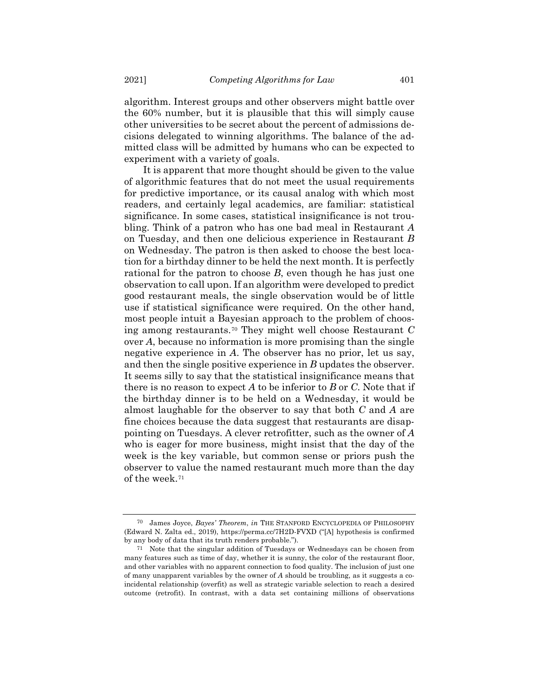algorithm. Interest groups and other observers might battle over the 60% number, but it is plausible that this will simply cause other universities to be secret about the percent of admissions decisions delegated to winning algorithms. The balance of the admitted class will be admitted by humans who can be expected to experiment with a variety of goals.

It is apparent that more thought should be given to the value of algorithmic features that do not meet the usual requirements for predictive importance, or its causal analog with which most readers, and certainly legal academics, are familiar: statistical significance. In some cases, statistical insignificance is not troubling. Think of a patron who has one bad meal in Restaurant *A* on Tuesday, and then one delicious experience in Restaurant *B* on Wednesday. The patron is then asked to choose the best location for a birthday dinner to be held the next month. It is perfectly rational for the patron to choose *B*, even though he has just one observation to call upon. If an algorithm were developed to predict good restaurant meals, the single observation would be of little use if statistical significance were required. On the other hand, most people intuit a Bayesian approach to the problem of choosing among restaurants.[70](#page-34-0) They might well choose Restaurant *C* over *A*, because no information is more promising than the single negative experience in *A*. The observer has no prior, let us say, and then the single positive experience in *B* updates the observer. It seems silly to say that the statistical insignificance means that there is no reason to expect *A* to be inferior to *B* or *C*. Note that if the birthday dinner is to be held on a Wednesday, it would be almost laughable for the observer to say that both *C* and *A* are fine choices because the data suggest that restaurants are disappointing on Tuesdays. A clever retrofitter, such as the owner of *A* who is eager for more business, might insist that the day of the week is the key variable, but common sense or priors push the observer to value the named restaurant much more than the day of the week.[71](#page-34-1)

<span id="page-34-0"></span><sup>70</sup> James Joyce, *Bayes' Theorem*, *in* THE STANFORD ENCYCLOPEDIA OF PHILOSOPHY (Edward N. Zalta ed., 2019), https://perma.cc/7H2D-FVXD ("[A] hypothesis is confirmed by any body of data that its truth renders probable.").

<span id="page-34-1"></span><sup>71</sup> Note that the singular addition of Tuesdays or Wednesdays can be chosen from many features such as time of day, whether it is sunny, the color of the restaurant floor, and other variables with no apparent connection to food quality. The inclusion of just one of many unapparent variables by the owner of *A* should be troubling, as it suggests a coincidental relationship (overfit) as well as strategic variable selection to reach a desired outcome (retrofit). In contrast, with a data set containing millions of observations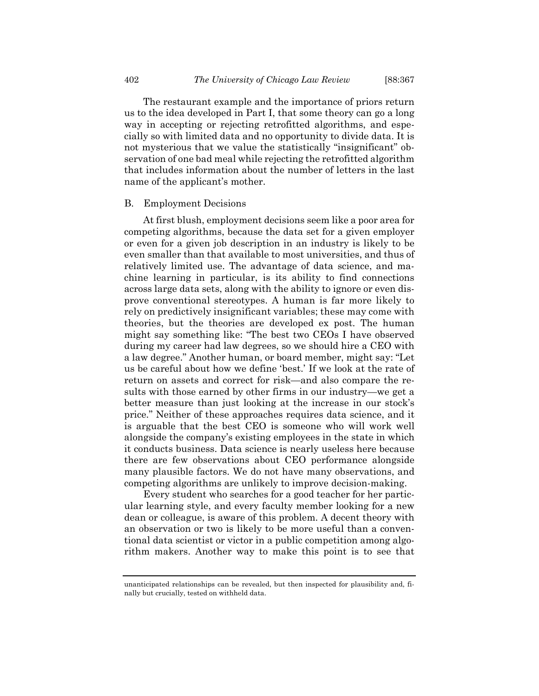The restaurant example and the importance of priors return us to the idea developed in Part I, that some theory can go a long way in accepting or rejecting retrofitted algorithms, and especially so with limited data and no opportunity to divide data. It is not mysterious that we value the statistically "insignificant" observation of one bad meal while rejecting the retrofitted algorithm that includes information about the number of letters in the last

#### B. Employment Decisions

name of the applicant's mother.

At first blush, employment decisions seem like a poor area for competing algorithms, because the data set for a given employer or even for a given job description in an industry is likely to be even smaller than that available to most universities, and thus of relatively limited use. The advantage of data science, and machine learning in particular, is its ability to find connections across large data sets, along with the ability to ignore or even disprove conventional stereotypes. A human is far more likely to rely on predictively insignificant variables; these may come with theories, but the theories are developed ex post. The human might say something like: "The best two CEOs I have observed during my career had law degrees, so we should hire a CEO with a law degree." Another human, or board member, might say: "Let us be careful about how we define 'best.' If we look at the rate of return on assets and correct for risk—and also compare the results with those earned by other firms in our industry—we get a better measure than just looking at the increase in our stock's price." Neither of these approaches requires data science, and it is arguable that the best CEO is someone who will work well alongside the company's existing employees in the state in which it conducts business. Data science is nearly useless here because there are few observations about CEO performance alongside many plausible factors. We do not have many observations, and competing algorithms are unlikely to improve decision-making.

Every student who searches for a good teacher for her particular learning style, and every faculty member looking for a new dean or colleague, is aware of this problem. A decent theory with an observation or two is likely to be more useful than a conventional data scientist or victor in a public competition among algorithm makers. Another way to make this point is to see that

unanticipated relationships can be revealed, but then inspected for plausibility and, finally but crucially, tested on withheld data.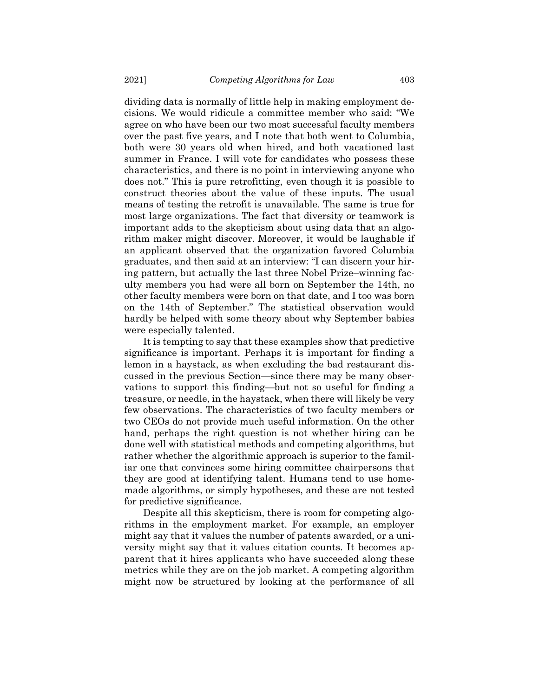dividing data is normally of little help in making employment decisions. We would ridicule a committee member who said: "We agree on who have been our two most successful faculty members over the past five years, and I note that both went to Columbia, both were 30 years old when hired, and both vacationed last summer in France. I will vote for candidates who possess these characteristics, and there is no point in interviewing anyone who does not." This is pure retrofitting, even though it is possible to construct theories about the value of these inputs. The usual means of testing the retrofit is unavailable. The same is true for most large organizations. The fact that diversity or teamwork is important adds to the skepticism about using data that an algorithm maker might discover. Moreover, it would be laughable if an applicant observed that the organization favored Columbia graduates, and then said at an interview: "I can discern your hiring pattern, but actually the last three Nobel Prize–winning faculty members you had were all born on September the 14th, no other faculty members were born on that date, and I too was born on the 14th of September." The statistical observation would hardly be helped with some theory about why September babies were especially talented.

It is tempting to say that these examples show that predictive significance is important. Perhaps it is important for finding a lemon in a haystack, as when excluding the bad restaurant discussed in the previous Section—since there may be many observations to support this finding—but not so useful for finding a treasure, or needle, in the haystack, when there will likely be very few observations. The characteristics of two faculty members or two CEOs do not provide much useful information. On the other hand, perhaps the right question is not whether hiring can be done well with statistical methods and competing algorithms, but rather whether the algorithmic approach is superior to the familiar one that convinces some hiring committee chairpersons that they are good at identifying talent. Humans tend to use homemade algorithms, or simply hypotheses, and these are not tested for predictive significance.

Despite all this skepticism, there is room for competing algorithms in the employment market. For example, an employer might say that it values the number of patents awarded, or a university might say that it values citation counts. It becomes apparent that it hires applicants who have succeeded along these metrics while they are on the job market. A competing algorithm might now be structured by looking at the performance of all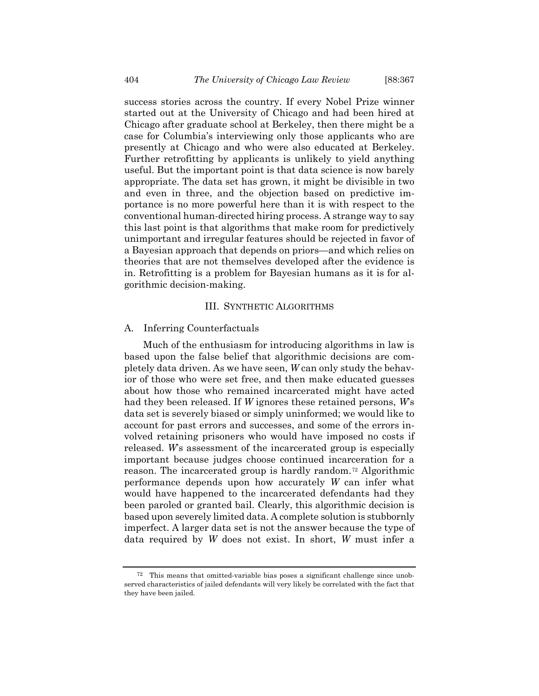success stories across the country. If every Nobel Prize winner started out at the University of Chicago and had been hired at Chicago after graduate school at Berkeley, then there might be a case for Columbia's interviewing only those applicants who are presently at Chicago and who were also educated at Berkeley. Further retrofitting by applicants is unlikely to yield anything useful. But the important point is that data science is now barely appropriate. The data set has grown, it might be divisible in two and even in three, and the objection based on predictive importance is no more powerful here than it is with respect to the conventional human-directed hiring process. A strange way to say this last point is that algorithms that make room for predictively unimportant and irregular features should be rejected in favor of a Bayesian approach that depends on priors—and which relies on theories that are not themselves developed after the evidence is in. Retrofitting is a problem for Bayesian humans as it is for algorithmic decision-making.

### III. SYNTHETIC ALGORITHMS

### A. Inferring Counterfactuals

Much of the enthusiasm for introducing algorithms in law is based upon the false belief that algorithmic decisions are completely data driven. As we have seen, *W* can only study the behavior of those who were set free, and then make educated guesses about how those who remained incarcerated might have acted had they been released. If *W* ignores these retained persons, *W*'s data set is severely biased or simply uninformed; we would like to account for past errors and successes, and some of the errors involved retaining prisoners who would have imposed no costs if released. *W*'s assessment of the incarcerated group is especially important because judges choose continued incarceration for a reason. The incarcerated group is hardly random.[72](#page-37-0) Algorithmic performance depends upon how accurately *W* can infer what would have happened to the incarcerated defendants had they been paroled or granted bail. Clearly, this algorithmic decision is based upon severely limited data. A complete solution is stubbornly imperfect. A larger data set is not the answer because the type of data required by *W* does not exist. In short, *W* must infer a

<span id="page-37-0"></span><sup>72</sup> This means that omitted-variable bias poses a significant challenge since unobserved characteristics of jailed defendants will very likely be correlated with the fact that they have been jailed.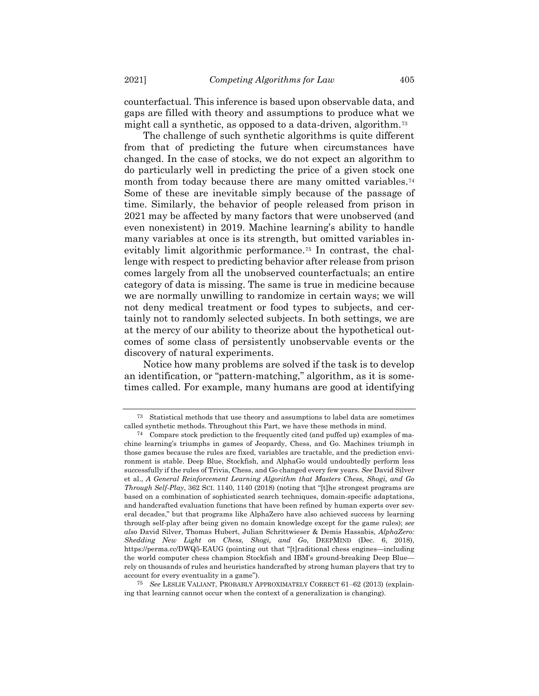counterfactual. This inference is based upon observable data, and gaps are filled with theory and assumptions to produce what we might call a synthetic, as opposed to a data-driven, algorithm.[73](#page-38-0)

The challenge of such synthetic algorithms is quite different from that of predicting the future when circumstances have changed. In the case of stocks, we do not expect an algorithm to do particularly well in predicting the price of a given stock one month from today because there are many omitted variables.<sup>[74](#page-38-1)</sup> Some of these are inevitable simply because of the passage of time. Similarly, the behavior of people released from prison in 2021 may be affected by many factors that were unobserved (and even nonexistent) in 2019. Machine learning's ability to handle many variables at once is its strength, but omitted variables in-evitably limit algorithmic performance.<sup>[75](#page-38-2)</sup> In contrast, the challenge with respect to predicting behavior after release from prison comes largely from all the unobserved counterfactuals; an entire category of data is missing. The same is true in medicine because we are normally unwilling to randomize in certain ways; we will not deny medical treatment or food types to subjects, and certainly not to randomly selected subjects. In both settings, we are at the mercy of our ability to theorize about the hypothetical outcomes of some class of persistently unobservable events or the discovery of natural experiments.

Notice how many problems are solved if the task is to develop an identification, or "pattern-matching," algorithm, as it is sometimes called. For example, many humans are good at identifying

<span id="page-38-0"></span><sup>73</sup> Statistical methods that use theory and assumptions to label data are sometimes called synthetic methods. Throughout this Part, we have these methods in mind.

<span id="page-38-1"></span><sup>74</sup> Compare stock prediction to the frequently cited (and puffed up) examples of machine learning's triumphs in games of Jeopardy, Chess, and Go. Machines triumph in those games because the rules are fixed, variables are tractable, and the prediction environment is stable. Deep Blue, Stockfish, and AlphaGo would undoubtedly perform less successfully if the rules of Trivia, Chess, and Go changed every few years. *See* David Silver et al., *A General Reinforcement Learning Algorithm that Masters Chess, Shogi, and Go Through Self-Play*, 362 SCI. 1140, 1140 (2018) (noting that "[t]he strongest programs are based on a combination of sophisticated search techniques, domain-specific adaptations, and handcrafted evaluation functions that have been refined by human experts over several decades," but that programs like AlphaZero have also achieved success by learning through self-play after being given no domain knowledge except for the game rules); *see also* David Silver, Thomas Hubert, Julian Schrittwieser & Demis Hassabis, *AlphaZero: Shedding New Light on Chess, Shogi, and Go*, DEEPMIND (Dec. 6, 2018), https://perma.cc/DWQ5-EAUG (pointing out that "[t]raditional chess engines—including the world computer chess champion Stockfish and IBM's ground-breaking Deep Blue rely on thousands of rules and heuristics handcrafted by strong human players that try to account for every eventuality in a game").

<span id="page-38-2"></span><sup>75</sup> *See* LESLIE VALIANT, PROBABLY APPROXIMATELY CORRECT 61–62 (2013) (explaining that learning cannot occur when the context of a generalization is changing).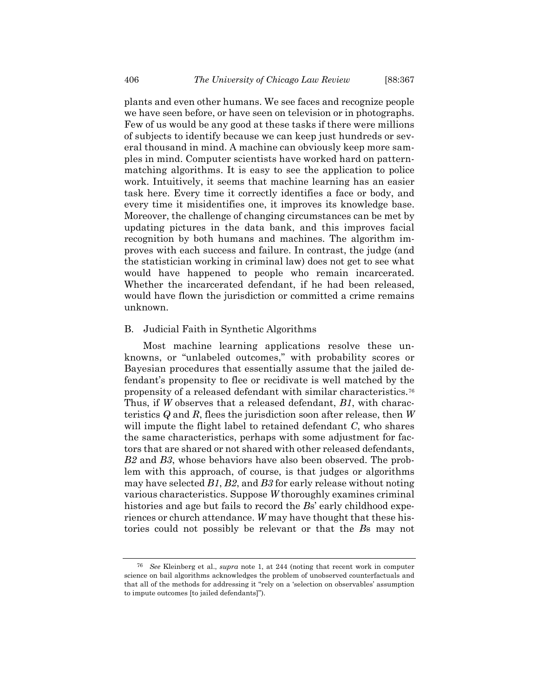plants and even other humans. We see faces and recognize people we have seen before, or have seen on television or in photographs. Few of us would be any good at these tasks if there were millions of subjects to identify because we can keep just hundreds or several thousand in mind. A machine can obviously keep more samples in mind. Computer scientists have worked hard on patternmatching algorithms. It is easy to see the application to police work. Intuitively, it seems that machine learning has an easier task here. Every time it correctly identifies a face or body, and every time it misidentifies one, it improves its knowledge base. Moreover, the challenge of changing circumstances can be met by updating pictures in the data bank, and this improves facial recognition by both humans and machines. The algorithm improves with each success and failure. In contrast, the judge (and the statistician working in criminal law) does not get to see what would have happened to people who remain incarcerated. Whether the incarcerated defendant, if he had been released, would have flown the jurisdiction or committed a crime remains unknown.

### B. Judicial Faith in Synthetic Algorithms

Most machine learning applications resolve these unknowns, or "unlabeled outcomes," with probability scores or Bayesian procedures that essentially assume that the jailed defendant's propensity to flee or recidivate is well matched by the propensity of a released defendant with similar characteristics.[76](#page-39-0) Thus, if *W* observes that a released defendant, *B1*, with characteristics *Q* and *R*, flees the jurisdiction soon after release, then *W* will impute the flight label to retained defendant *C*, who shares the same characteristics, perhaps with some adjustment for factors that are shared or not shared with other released defendants, *B2* and *B3*, whose behaviors have also been observed. The problem with this approach, of course, is that judges or algorithms may have selected *B1*, *B2*, and *B3* for early release without noting various characteristics. Suppose *W* thoroughly examines criminal histories and age but fails to record the *B*s' early childhood experiences or church attendance. *W* may have thought that these histories could not possibly be relevant or that the *B*s may not

<span id="page-39-0"></span><sup>76</sup> *See* Kleinberg et al., *supra* note [1,](#page-1-4) at 244 (noting that recent work in computer science on bail algorithms acknowledges the problem of unobserved counterfactuals and that all of the methods for addressing it "rely on a 'selection on observables' assumption to impute outcomes [to jailed defendants]").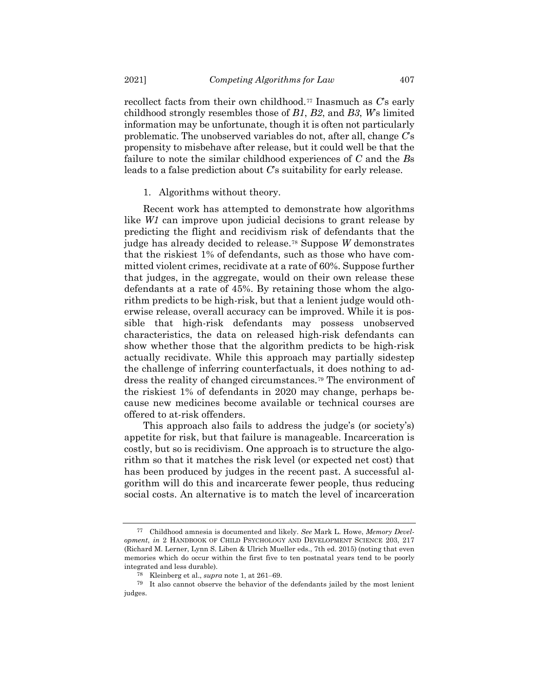recollect facts from their own childhood.[77](#page-40-0) Inasmuch as *C*'s early childhood strongly resembles those of *B1*, *B2*, and *B3*, *W*'s limited information may be unfortunate, though it is often not particularly problematic. The unobserved variables do not, after all, change *C*'s propensity to misbehave after release, but it could well be that the failure to note the similar childhood experiences of *C* and the *B*s leads to a false prediction about *C*'s suitability for early release.

### 1. Algorithms without theory.

Recent work has attempted to demonstrate how algorithms like *W1* can improve upon judicial decisions to grant release by predicting the flight and recidivism risk of defendants that the judge has already decided to release.[78](#page-40-1) Suppose *W* demonstrates that the riskiest 1% of defendants, such as those who have committed violent crimes, recidivate at a rate of 60%. Suppose further that judges, in the aggregate, would on their own release these defendants at a rate of 45%. By retaining those whom the algorithm predicts to be high-risk, but that a lenient judge would otherwise release, overall accuracy can be improved. While it is possible that high-risk defendants may possess unobserved characteristics, the data on released high-risk defendants can show whether those that the algorithm predicts to be high-risk actually recidivate. While this approach may partially sidestep the challenge of inferring counterfactuals, it does nothing to address the reality of changed circumstances.[79](#page-40-2) The environment of the riskiest 1% of defendants in 2020 may change, perhaps because new medicines become available or technical courses are offered to at-risk offenders.

This approach also fails to address the judge's (or society's) appetite for risk, but that failure is manageable. Incarceration is costly, but so is recidivism. One approach is to structure the algorithm so that it matches the risk level (or expected net cost) that has been produced by judges in the recent past. A successful algorithm will do this and incarcerate fewer people, thus reducing social costs. An alternative is to match the level of incarceration

<span id="page-40-0"></span><sup>77</sup> Childhood amnesia is documented and likely. *See* Mark L. Howe, *Memory Development*, *in* 2 HANDBOOK OF CHILD PSYCHOLOGY AND DEVELOPMENT SCIENCE 203, 217 (Richard M. Lerner, Lynn S. Liben & Ulrich Mueller eds., 7th ed. 2015) (noting that even memories which do occur within the first five to ten postnatal years tend to be poorly integrated and less durable).

<sup>78</sup> Kleinberg et al., *supra* note [1,](#page-1-4) at 261–69.

<span id="page-40-2"></span><span id="page-40-1"></span><sup>79</sup> It also cannot observe the behavior of the defendants jailed by the most lenient judges.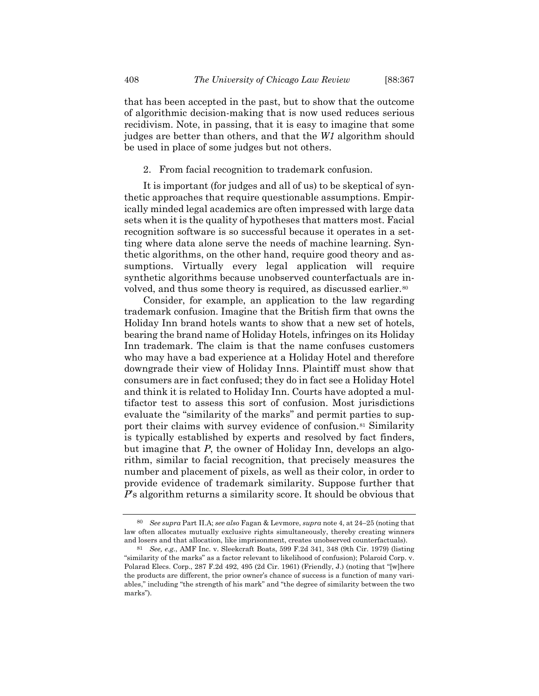that has been accepted in the past, but to show that the outcome of algorithmic decision-making that is now used reduces serious recidivism. Note, in passing, that it is easy to imagine that some judges are better than others, and that the *W1* algorithm should be used in place of some judges but not others.

### 2. From facial recognition to trademark confusion.

It is important (for judges and all of us) to be skeptical of synthetic approaches that require questionable assumptions. Empirically minded legal academics are often impressed with large data sets when it is the quality of hypotheses that matters most. Facial recognition software is so successful because it operates in a setting where data alone serve the needs of machine learning. Synthetic algorithms, on the other hand, require good theory and assumptions. Virtually every legal application will require synthetic algorithms because unobserved counterfactuals are in-volved, and thus some theory is required, as discussed earlier.<sup>[80](#page-41-0)</sup>

Consider, for example, an application to the law regarding trademark confusion. Imagine that the British firm that owns the Holiday Inn brand hotels wants to show that a new set of hotels, bearing the brand name of Holiday Hotels, infringes on its Holiday Inn trademark. The claim is that the name confuses customers who may have a bad experience at a Holiday Hotel and therefore downgrade their view of Holiday Inns. Plaintiff must show that consumers are in fact confused; they do in fact see a Holiday Hotel and think it is related to Holiday Inn. Courts have adopted a multifactor test to assess this sort of confusion. Most jurisdictions evaluate the "similarity of the marks" and permit parties to support their claims with survey evidence of confusion.[81](#page-41-1) Similarity is typically established by experts and resolved by fact finders, but imagine that *P*, the owner of Holiday Inn, develops an algorithm, similar to facial recognition, that precisely measures the number and placement of pixels, as well as their color, in order to provide evidence of trademark similarity. Suppose further that *P*'s algorithm returns a similarity score. It should be obvious that

<span id="page-41-0"></span><sup>80</sup> *See supra* Part II.A; *see also* Fagan & Levmore, *supra* not[e 4,](#page-2-2) at 24–25 (noting that law often allocates mutually exclusive rights simultaneously, thereby creating winners and losers and that allocation, like imprisonment, creates unobserved counterfactuals).

<span id="page-41-1"></span><sup>81</sup> *See, e.g.*, AMF Inc. v. Sleekcraft Boats, 599 F.2d 341, 348 (9th Cir. 1979) (listing "similarity of the marks" as a factor relevant to likelihood of confusion); Polaroid Corp. v. Polarad Elecs. Corp., 287 F.2d 492, 495 (2d Cir. 1961) (Friendly, J.) (noting that "[w]here the products are different, the prior owner's chance of success is a function of many variables," including "the strength of his mark" and "the degree of similarity between the two marks").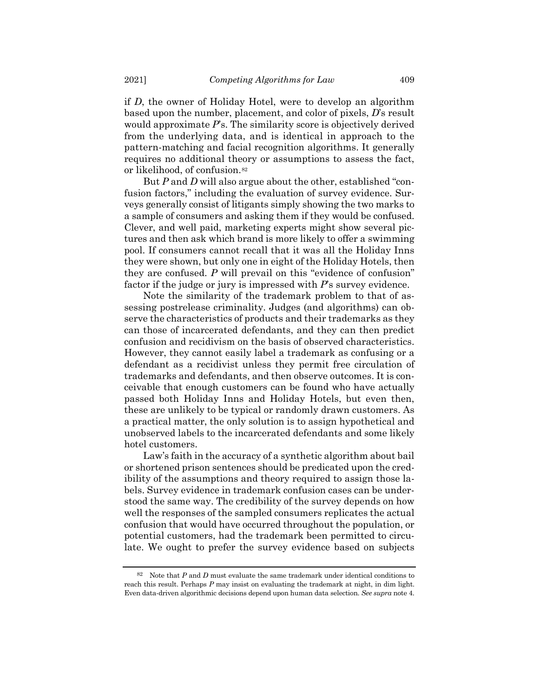if *D*, the owner of Holiday Hotel, were to develop an algorithm based upon the number, placement, and color of pixels, *D*'s result would approximate *P*'s. The similarity score is objectively derived from the underlying data, and is identical in approach to the pattern-matching and facial recognition algorithms. It generally requires no additional theory or assumptions to assess the fact, or likelihood, of confusion.[82](#page-42-0)

But *P* and *D* will also argue about the other, established "confusion factors," including the evaluation of survey evidence. Surveys generally consist of litigants simply showing the two marks to a sample of consumers and asking them if they would be confused. Clever, and well paid, marketing experts might show several pictures and then ask which brand is more likely to offer a swimming pool. If consumers cannot recall that it was all the Holiday Inns they were shown, but only one in eight of the Holiday Hotels, then they are confused. *P* will prevail on this "evidence of confusion" factor if the judge or jury is impressed with *P*'s survey evidence.

Note the similarity of the trademark problem to that of assessing postrelease criminality. Judges (and algorithms) can observe the characteristics of products and their trademarks as they can those of incarcerated defendants, and they can then predict confusion and recidivism on the basis of observed characteristics. However, they cannot easily label a trademark as confusing or a defendant as a recidivist unless they permit free circulation of trademarks and defendants, and then observe outcomes. It is conceivable that enough customers can be found who have actually passed both Holiday Inns and Holiday Hotels, but even then, these are unlikely to be typical or randomly drawn customers. As a practical matter, the only solution is to assign hypothetical and unobserved labels to the incarcerated defendants and some likely hotel customers.

Law's faith in the accuracy of a synthetic algorithm about bail or shortened prison sentences should be predicated upon the credibility of the assumptions and theory required to assign those labels. Survey evidence in trademark confusion cases can be understood the same way. The credibility of the survey depends on how well the responses of the sampled consumers replicates the actual confusion that would have occurred throughout the population, or potential customers, had the trademark been permitted to circulate. We ought to prefer the survey evidence based on subjects

<span id="page-42-0"></span><sup>82</sup> Note that  $P$  and  $D$  must evaluate the same trademark under identical conditions to reach this result. Perhaps *P* may insist on evaluating the trademark at night, in dim light. Even data-driven algorithmic decisions depend upon human data selection. *See supra* not[e 4.](#page-2-2)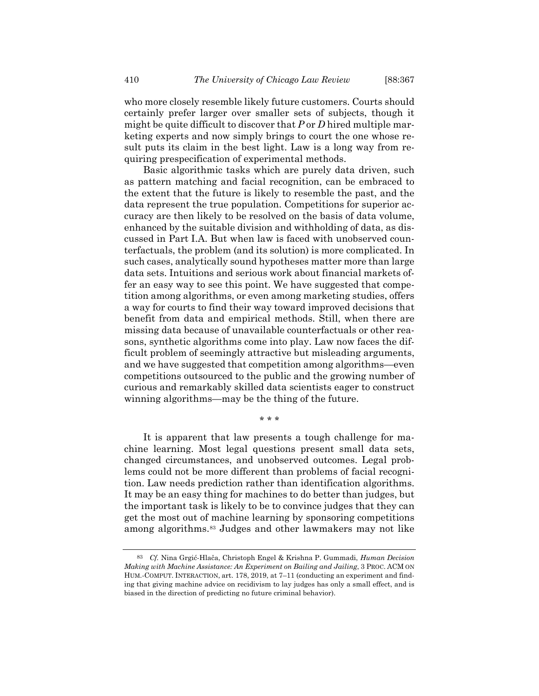who more closely resemble likely future customers. Courts should certainly prefer larger over smaller sets of subjects, though it might be quite difficult to discover that *P* or *D* hired multiple marketing experts and now simply brings to court the one whose result puts its claim in the best light. Law is a long way from requiring prespecification of experimental methods.

Basic algorithmic tasks which are purely data driven, such as pattern matching and facial recognition, can be embraced to the extent that the future is likely to resemble the past, and the data represent the true population. Competitions for superior accuracy are then likely to be resolved on the basis of data volume, enhanced by the suitable division and withholding of data, as discussed in Part I.A. But when law is faced with unobserved counterfactuals, the problem (and its solution) is more complicated. In such cases, analytically sound hypotheses matter more than large data sets. Intuitions and serious work about financial markets offer an easy way to see this point. We have suggested that competition among algorithms, or even among marketing studies, offers a way for courts to find their way toward improved decisions that benefit from data and empirical methods. Still, when there are missing data because of unavailable counterfactuals or other reasons, synthetic algorithms come into play. Law now faces the difficult problem of seemingly attractive but misleading arguments, and we have suggested that competition among algorithms—even competitions outsourced to the public and the growing number of curious and remarkably skilled data scientists eager to construct winning algorithms—may be the thing of the future.

It is apparent that law presents a tough challenge for machine learning. Most legal questions present small data sets, changed circumstances, and unobserved outcomes. Legal problems could not be more different than problems of facial recognition. Law needs prediction rather than identification algorithms. It may be an easy thing for machines to do better than judges, but the important task is likely to be to convince judges that they can get the most out of machine learning by sponsoring competitions among algorithms.[83](#page-43-0) Judges and other lawmakers may not like

\* \* \*

<span id="page-43-0"></span><sup>83</sup> *Cf.* Nina Grgić-Hlača, Christoph Engel & Krishna P. Gummadi, *Human Decision Making with Machine Assistance: An Experiment on Bailing and Jailing*, 3 PROC. ACM ON HUM.-COMPUT. INTERACTION, art. 178, 2019, at 7–11 (conducting an experiment and finding that giving machine advice on recidivism to lay judges has only a small effect, and is biased in the direction of predicting no future criminal behavior).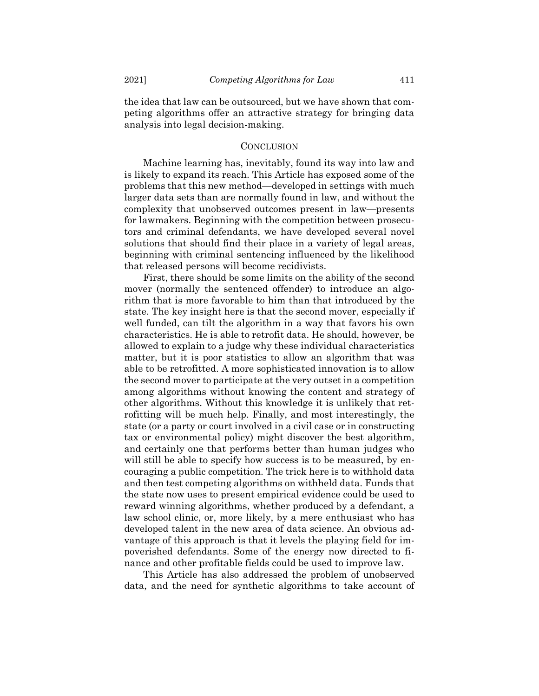the idea that law can be outsourced, but we have shown that competing algorithms offer an attractive strategy for bringing data analysis into legal decision-making.

#### **CONCLUSION**

Machine learning has, inevitably, found its way into law and is likely to expand its reach. This Article has exposed some of the problems that this new method—developed in settings with much larger data sets than are normally found in law, and without the complexity that unobserved outcomes present in law—presents for lawmakers. Beginning with the competition between prosecutors and criminal defendants, we have developed several novel solutions that should find their place in a variety of legal areas, beginning with criminal sentencing influenced by the likelihood that released persons will become recidivists.

First, there should be some limits on the ability of the second mover (normally the sentenced offender) to introduce an algorithm that is more favorable to him than that introduced by the state. The key insight here is that the second mover, especially if well funded, can tilt the algorithm in a way that favors his own characteristics. He is able to retrofit data. He should, however, be allowed to explain to a judge why these individual characteristics matter, but it is poor statistics to allow an algorithm that was able to be retrofitted. A more sophisticated innovation is to allow the second mover to participate at the very outset in a competition among algorithms without knowing the content and strategy of other algorithms. Without this knowledge it is unlikely that retrofitting will be much help. Finally, and most interestingly, the state (or a party or court involved in a civil case or in constructing tax or environmental policy) might discover the best algorithm, and certainly one that performs better than human judges who will still be able to specify how success is to be measured, by encouraging a public competition. The trick here is to withhold data and then test competing algorithms on withheld data. Funds that the state now uses to present empirical evidence could be used to reward winning algorithms, whether produced by a defendant, a law school clinic, or, more likely, by a mere enthusiast who has developed talent in the new area of data science. An obvious advantage of this approach is that it levels the playing field for impoverished defendants. Some of the energy now directed to finance and other profitable fields could be used to improve law.

This Article has also addressed the problem of unobserved data, and the need for synthetic algorithms to take account of